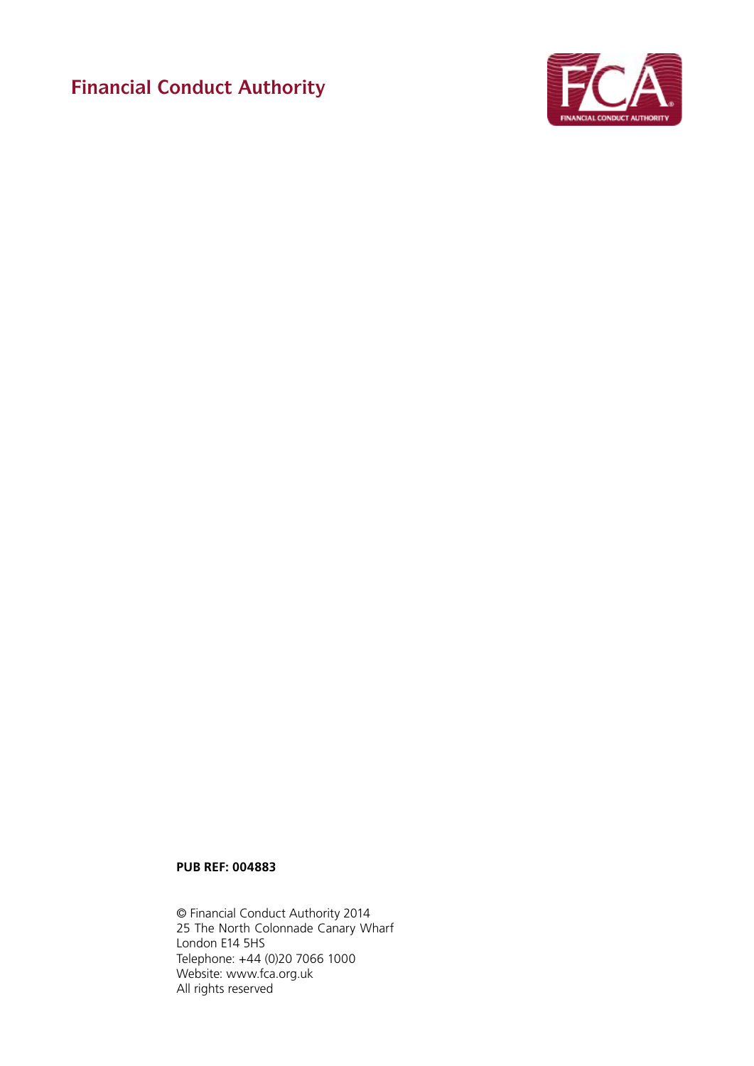**Financial Conduct Authority**



# **PUB REF: 004883**

© Financial Conduct Authority 2014 25 The North Colonnade Canary Wharf London E14 5HS Telephone: +44 (0)20 7066 1000 Website: www.fca.org.uk All rights reserved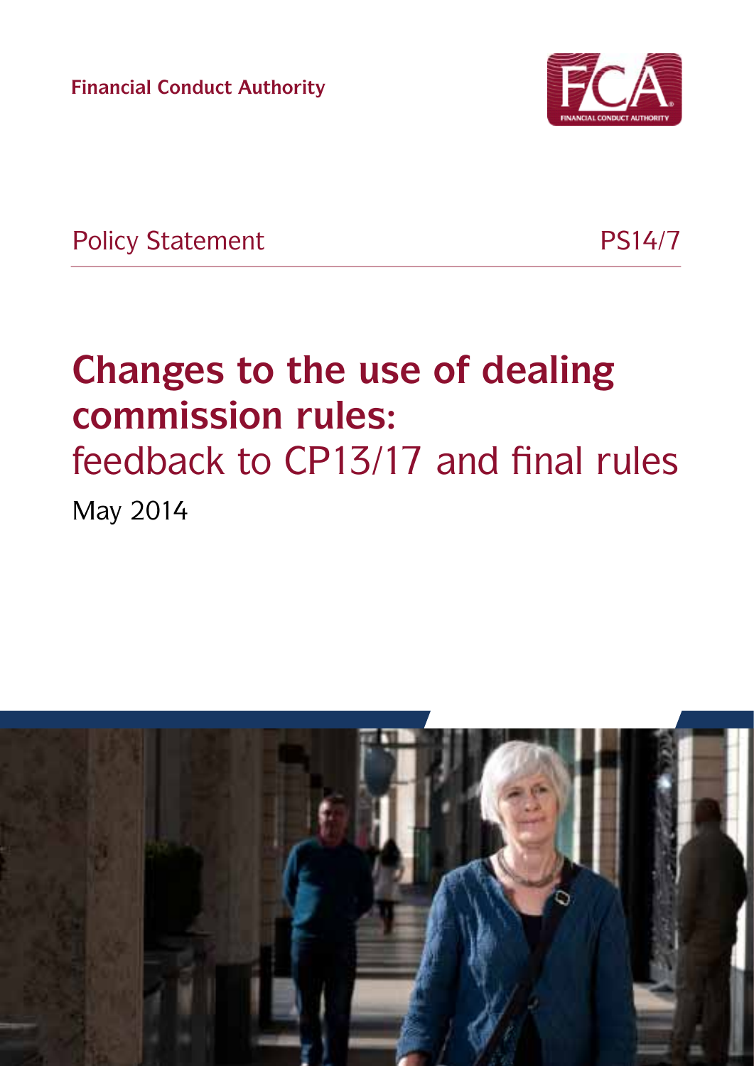**Financial Conduct Authority**



Policy Statement PS14/7

# **Changes to the use of dealing commission rules:**  feedback to CP13/17 and final rules

May 2014

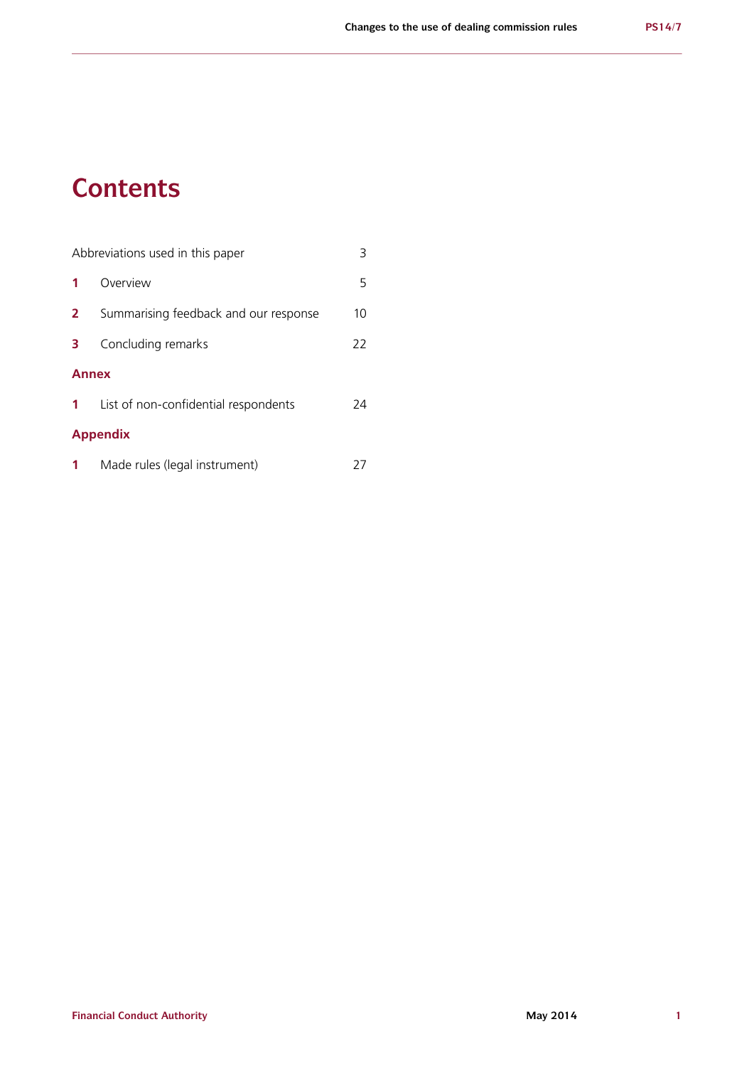# **Contents**

| Abbreviations used in this paper<br>3 |                                       |    |
|---------------------------------------|---------------------------------------|----|
| 1                                     | Overview                              | 5  |
| $\mathbf{2}$                          | Summarising feedback and our response | 10 |
| 3.                                    | Concluding remarks                    | 22 |
| <b>Annex</b>                          |                                       |    |
| $1 -$                                 | List of non-confidential respondents  | 24 |
| <b>Appendix</b>                       |                                       |    |
| 1                                     | Made rules (legal instrument)         |    |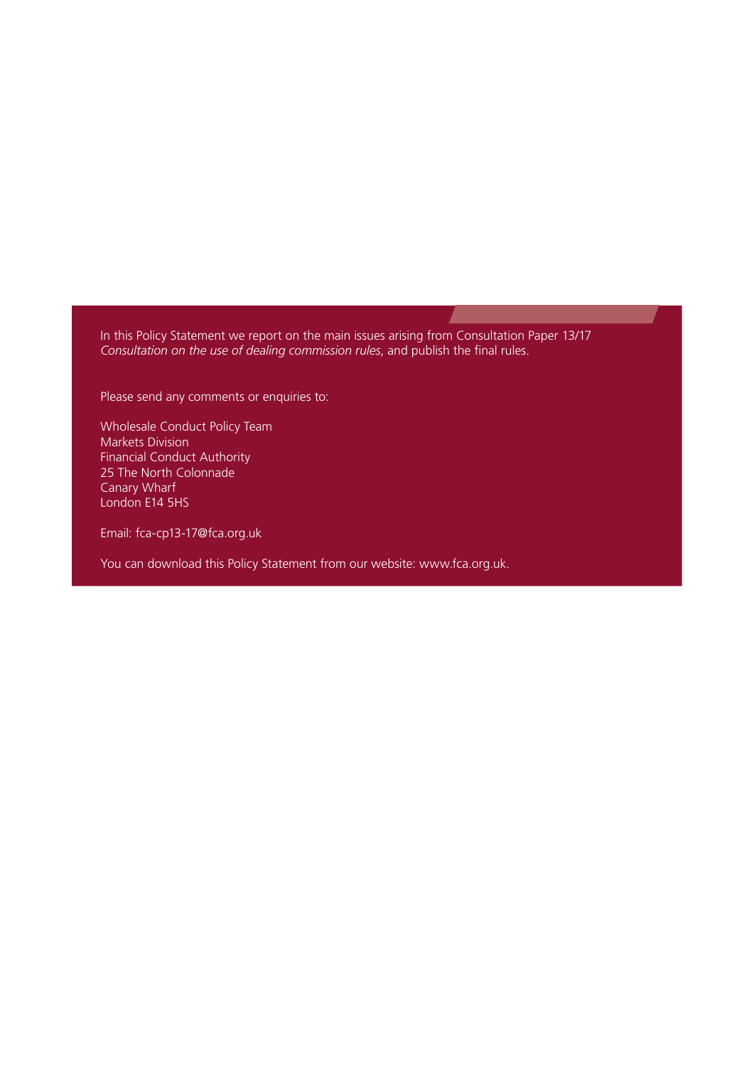In this Policy Statement we report on the main issues arising from Consultation Paper 13/17 *Consultation on the use of dealing commission rules*, and publish the final rules.

Please send any comments or enquiries to:

Wholesale Conduct Policy Team Markets Division Financial Conduct Authority 25 The North Colonnade Canary Wharf London E14 5HS

Email: fca-cp13-17@fca.org.uk

You can download this Policy Statement from our website: www.fca.org.uk.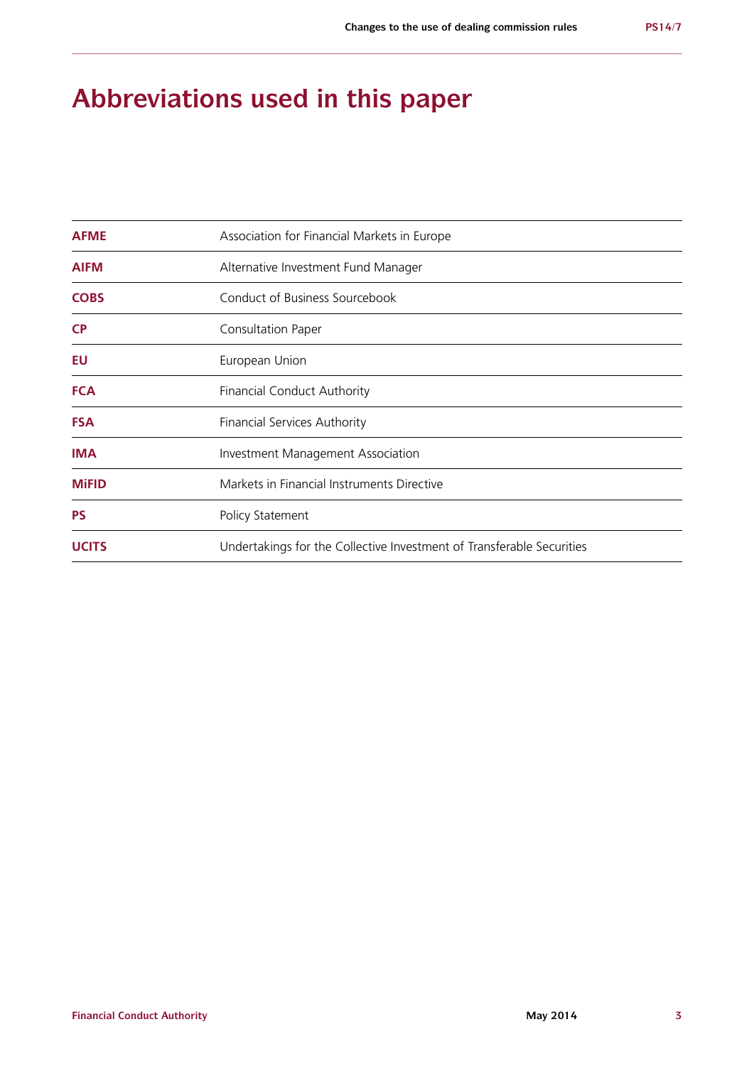# **Abbreviations used in this paper**

| <b>AFME</b>  | Association for Financial Markets in Europe                           |
|--------------|-----------------------------------------------------------------------|
| <b>AIFM</b>  | Alternative Investment Fund Manager                                   |
| <b>COBS</b>  | Conduct of Business Sourcebook                                        |
| <b>CP</b>    | Consultation Paper                                                    |
| EU           | European Union                                                        |
| <b>FCA</b>   | <b>Financial Conduct Authority</b>                                    |
| <b>FSA</b>   | <b>Financial Services Authority</b>                                   |
| <b>IMA</b>   | <b>Investment Management Association</b>                              |
| <b>MiFID</b> | Markets in Financial Instruments Directive                            |
| <b>PS</b>    | Policy Statement                                                      |
| <b>UCITS</b> | Undertakings for the Collective Investment of Transferable Securities |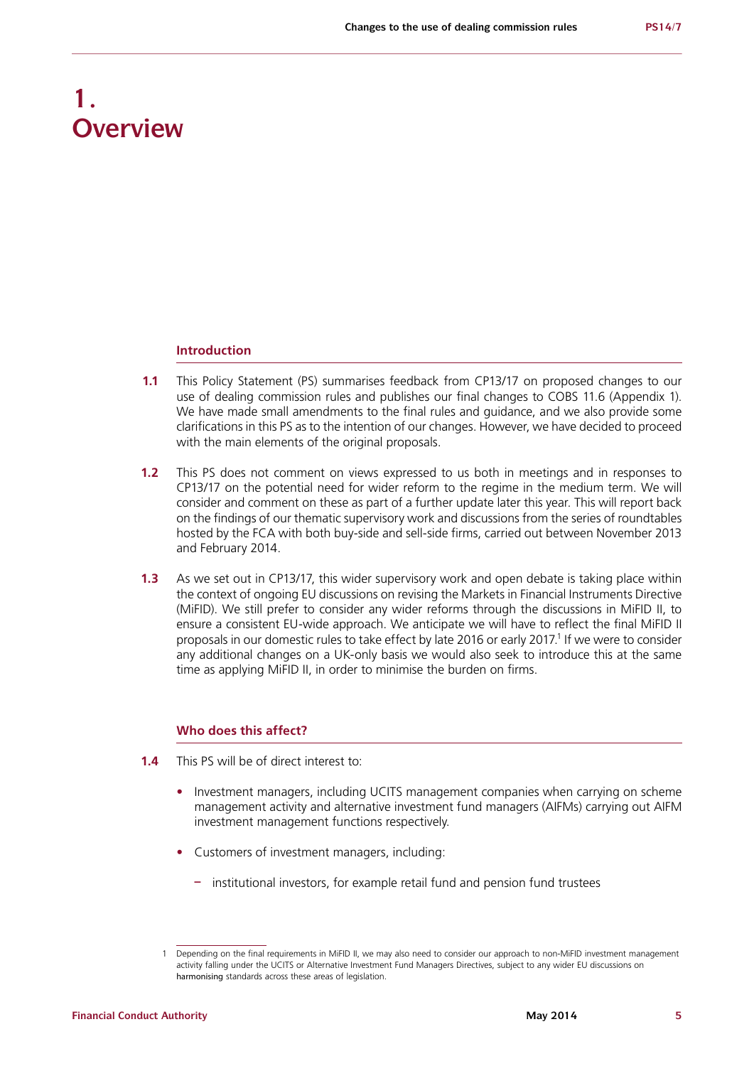# **1. Overview**

# **Introduction**

- **1.1** This Policy Statement (PS) summarises feedback from CP13/17 on proposed changes to our use of dealing commission rules and publishes our final changes to COBS 11.6 (Appendix 1). We have made small amendments to the final rules and guidance, and we also provide some clarifications in this PS as to the intention of our changes. However, we have decided to proceed with the main elements of the original proposals.
- **1.2** This PS does not comment on views expressed to us both in meetings and in responses to CP13/17 on the potential need for wider reform to the regime in the medium term. We will consider and comment on these as part of a further update later this year. This will report back on the findings of our thematic supervisory work and discussions from the series of roundtables hosted by the FCA with both buy-side and sell-side firms, carried out between November 2013 and February 2014.
- **1.3** As we set out in CP13/17, this wider supervisory work and open debate is taking place within the context of ongoing EU discussions on revising the Markets in Financial Instruments Directive (MiFID). We still prefer to consider any wider reforms through the discussions in MiFID II, to ensure a consistent EU-wide approach. We anticipate we will have to reflect the final MiFID II proposals in our domestic rules to take effect by late 2016 or early 2017.<sup>1</sup> If we were to consider any additional changes on a UK-only basis we would also seek to introduce this at the same time as applying MiFID II, in order to minimise the burden on firms.

# **Who does this affect?**

- **1.4** This PS will be of direct interest to:
	- Investment managers, including UCITS management companies when carrying on scheme management activity and alternative investment fund managers (AIFMs) carrying out AIFM investment management functions respectively.
	- **•**  Customers of investment managers, including:
		- **–** institutional investors, for example retail fund and pension fund trustees

<sup>1</sup> Depending on the final requirements in MiFID II, we may also need to consider our approach to non-MiFID investment management activity falling under the UCITS or Alternative Investment Fund Managers Directives, subject to any wider EU discussions on harmonising standards across these areas of legislation.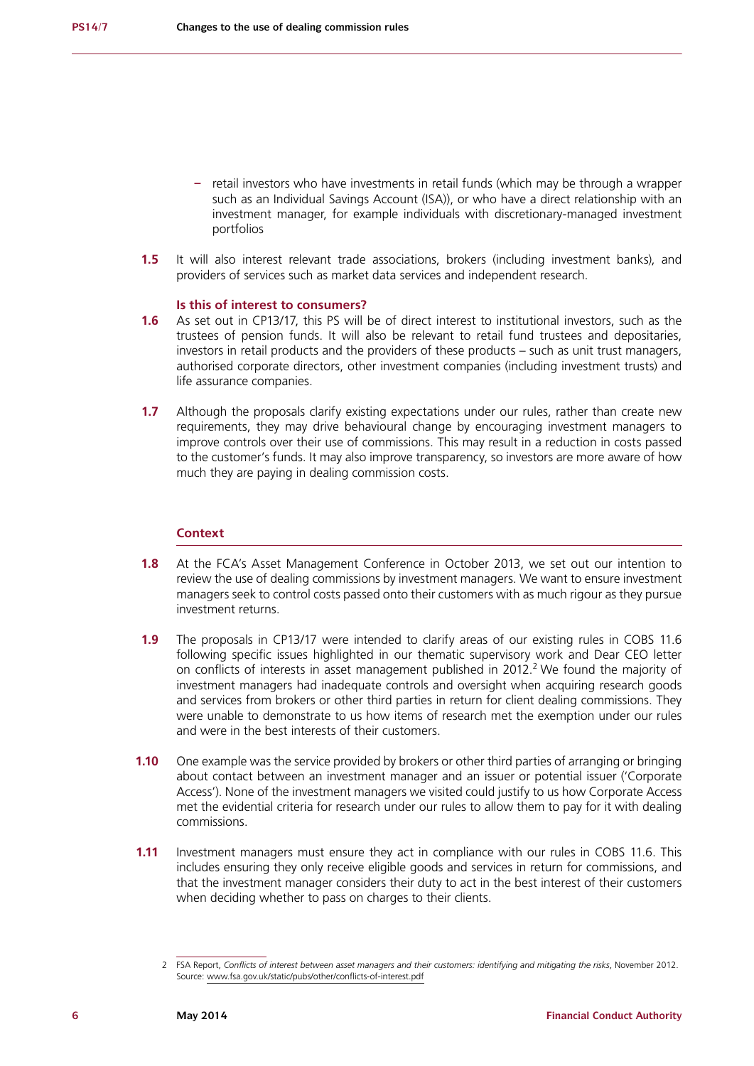- **–** retail investors who have investments in retail funds (which may be through a wrapper such as an Individual Savings Account (ISA)), or who have a direct relationship with an investment manager, for example individuals with discretionary-managed investment portfolios
- **1.5** It will also interest relevant trade associations, brokers (including investment banks), and providers of services such as market data services and independent research.

### **Is this of interest to consumers?**

- **1.6** As set out in CP13/17, this PS will be of direct interest to institutional investors, such as the trustees of pension funds. It will also be relevant to retail fund trustees and depositaries, investors in retail products and the providers of these products – such as unit trust managers, authorised corporate directors, other investment companies (including investment trusts) and life assurance companies.
- **1.7** Although the proposals clarify existing expectations under our rules, rather than create new requirements, they may drive behavioural change by encouraging investment managers to improve controls over their use of commissions. This may result in a reduction in costs passed to the customer's funds. It may also improve transparency, so investors are more aware of how much they are paying in dealing commission costs.

# **Context**

- **1.8** At the FCA's Asset Management Conference in October 2013, we set out our intention to review the use of dealing commissions by investment managers. We want to ensure investment managers seek to control costs passed onto their customers with as much rigour as they pursue investment returns.
- **1.9** The proposals in CP13/17 were intended to clarify areas of our existing rules in COBS 11.6 following specific issues highlighted in our thematic supervisory work and Dear CEO letter on conflicts of interests in asset management published in  $2012<sup>2</sup>$  We found the majority of investment managers had inadequate controls and oversight when acquiring research goods and services from brokers or other third parties in return for client dealing commissions. They were unable to demonstrate to us how items of research met the exemption under our rules and were in the best interests of their customers.
- **1.10** One example was the service provided by brokers or other third parties of arranging or bringing about contact between an investment manager and an issuer or potential issuer ('Corporate Access'). None of the investment managers we visited could justify to us how Corporate Access met the evidential criteria for research under our rules to allow them to pay for it with dealing commissions.
- **1.11** Investment managers must ensure they act in compliance with our rules in COBS 11.6. This includes ensuring they only receive eligible goods and services in return for commissions, and that the investment manager considers their duty to act in the best interest of their customers when deciding whether to pass on charges to their clients.

<sup>2</sup> FSA Report, *Conflicts of interest between asset managers and their customers: identifying and mitigating the risks*, November 2012. Source: [www.fsa.gov.uk/static/pubs/other/conflicts-of-interest.pdf](http://www.fsa.gov.uk/static/pubs/other/conflicts-of-interest.pdf)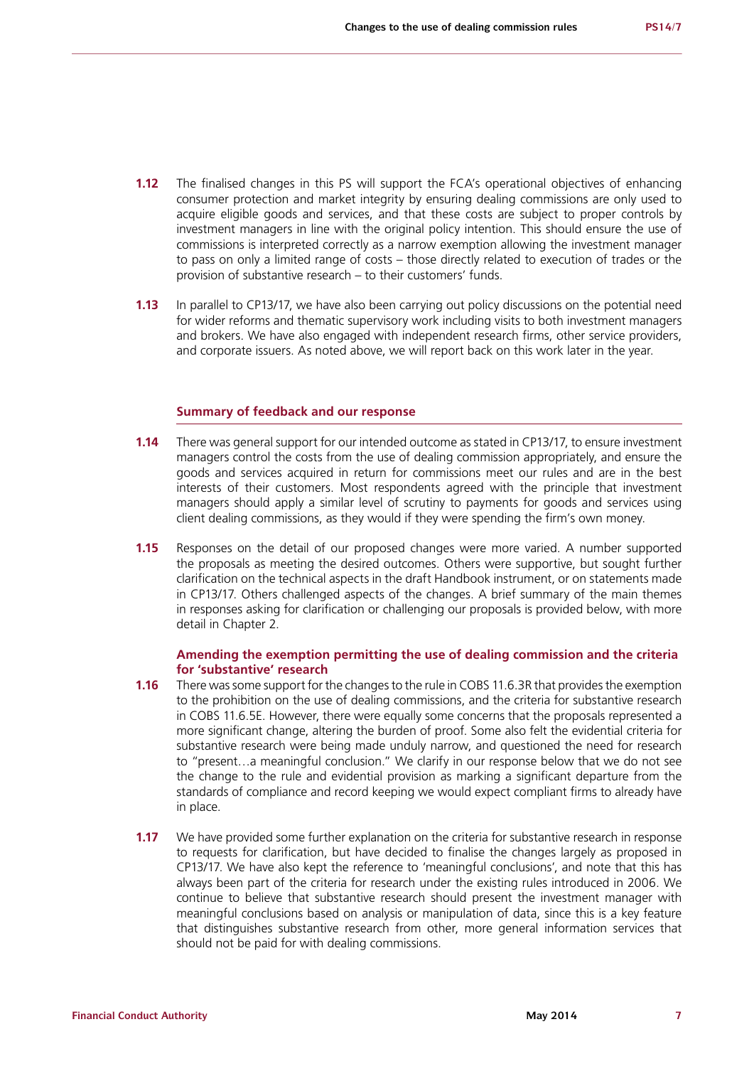- **1.12** The finalised changes in this PS will support the FCA's operational objectives of enhancing consumer protection and market integrity by ensuring dealing commissions are only used to acquire eligible goods and services, and that these costs are subject to proper controls by investment managers in line with the original policy intention. This should ensure the use of commissions is interpreted correctly as a narrow exemption allowing the investment manager to pass on only a limited range of costs – those directly related to execution of trades or the provision of substantive research – to their customers' funds.
- **1.13** In parallel to CP13/17, we have also been carrying out policy discussions on the potential need for wider reforms and thematic supervisory work including visits to both investment managers and brokers. We have also engaged with independent research firms, other service providers, and corporate issuers. As noted above, we will report back on this work later in the year.

# **Summary of feedback and our response**

- **1.14** There was general support for our intended outcome as stated in CP13/17, to ensure investment managers control the costs from the use of dealing commission appropriately, and ensure the goods and services acquired in return for commissions meet our rules and are in the best interests of their customers. Most respondents agreed with the principle that investment managers should apply a similar level of scrutiny to payments for goods and services using client dealing commissions, as they would if they were spending the firm's own money.
- **1.15** Responses on the detail of our proposed changes were more varied. A number supported the proposals as meeting the desired outcomes. Others were supportive, but sought further clarification on the technical aspects in the draft Handbook instrument, or on statements made in CP13/17. Others challenged aspects of the changes. A brief summary of the main themes in responses asking for clarification or challenging our proposals is provided below, with more detail in Chapter 2.

# **Amending the exemption permitting the use of dealing commission and the criteria for 'substantive' research**

- **1.16** There was some support for the changes to the rule in COBS 11.6.3R that provides the exemption to the prohibition on the use of dealing commissions, and the criteria for substantive research in COBS 11.6.5E. However, there were equally some concerns that the proposals represented a more significant change, altering the burden of proof. Some also felt the evidential criteria for substantive research were being made unduly narrow, and questioned the need for research to "present…a meaningful conclusion." We clarify in our response below that we do not see the change to the rule and evidential provision as marking a significant departure from the standards of compliance and record keeping we would expect compliant firms to already have in place.
- **1.17** We have provided some further explanation on the criteria for substantive research in response to requests for clarification, but have decided to finalise the changes largely as proposed in CP13/17. We have also kept the reference to 'meaningful conclusions', and note that this has always been part of the criteria for research under the existing rules introduced in 2006. We continue to believe that substantive research should present the investment manager with meaningful conclusions based on analysis or manipulation of data, since this is a key feature that distinguishes substantive research from other, more general information services that should not be paid for with dealing commissions.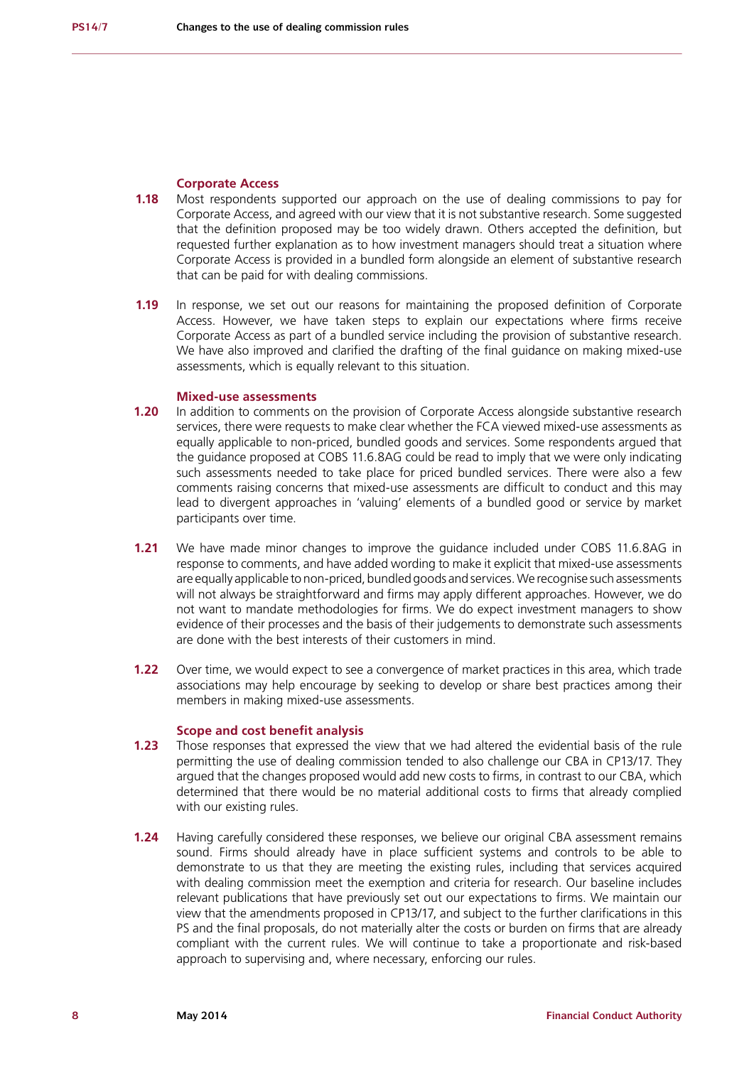# **Corporate Access**

- **1.18** Most respondents supported our approach on the use of dealing commissions to pay for Corporate Access, and agreed with our view that it is not substantive research. Some suggested that the definition proposed may be too widely drawn. Others accepted the definition, but requested further explanation as to how investment managers should treat a situation where Corporate Access is provided in a bundled form alongside an element of substantive research that can be paid for with dealing commissions.
- **1.19** In response, we set out our reasons for maintaining the proposed definition of Corporate Access. However, we have taken steps to explain our expectations where firms receive Corporate Access as part of a bundled service including the provision of substantive research. We have also improved and clarified the drafting of the final guidance on making mixed-use assessments, which is equally relevant to this situation.

# **Mixed-use assessments**

- **1.20** In addition to comments on the provision of Corporate Access alongside substantive research services, there were requests to make clear whether the FCA viewed mixed-use assessments as equally applicable to non-priced, bundled goods and services. Some respondents argued that the guidance proposed at COBS 11.6.8AG could be read to imply that we were only indicating such assessments needed to take place for priced bundled services. There were also a few comments raising concerns that mixed-use assessments are difficult to conduct and this may lead to divergent approaches in 'valuing' elements of a bundled good or service by market participants over time.
- **1.21** We have made minor changes to improve the guidance included under COBS 11.6.8AG in response to comments, and have added wording to make it explicit that mixed-use assessments are equally applicable to non-priced, bundled goods and services. We recognise such assessments will not always be straightforward and firms may apply different approaches. However, we do not want to mandate methodologies for firms. We do expect investment managers to show evidence of their processes and the basis of their judgements to demonstrate such assessments are done with the best interests of their customers in mind.
- **1.22** Over time, we would expect to see a convergence of market practices in this area, which trade associations may help encourage by seeking to develop or share best practices among their members in making mixed-use assessments.

### **Scope and cost benefit analysis**

- **1.23** Those responses that expressed the view that we had altered the evidential basis of the rule permitting the use of dealing commission tended to also challenge our CBA in CP13/17. They argued that the changes proposed would add new costs to firms, in contrast to our CBA, which determined that there would be no material additional costs to firms that already complied with our existing rules.
- **1.24** Having carefully considered these responses, we believe our original CBA assessment remains sound. Firms should already have in place sufficient systems and controls to be able to demonstrate to us that they are meeting the existing rules, including that services acquired with dealing commission meet the exemption and criteria for research. Our baseline includes relevant publications that have previously set out our expectations to firms. We maintain our view that the amendments proposed in CP13/17, and subject to the further clarifications in this PS and the final proposals, do not materially alter the costs or burden on firms that are already compliant with the current rules. We will continue to take a proportionate and risk-based approach to supervising and, where necessary, enforcing our rules.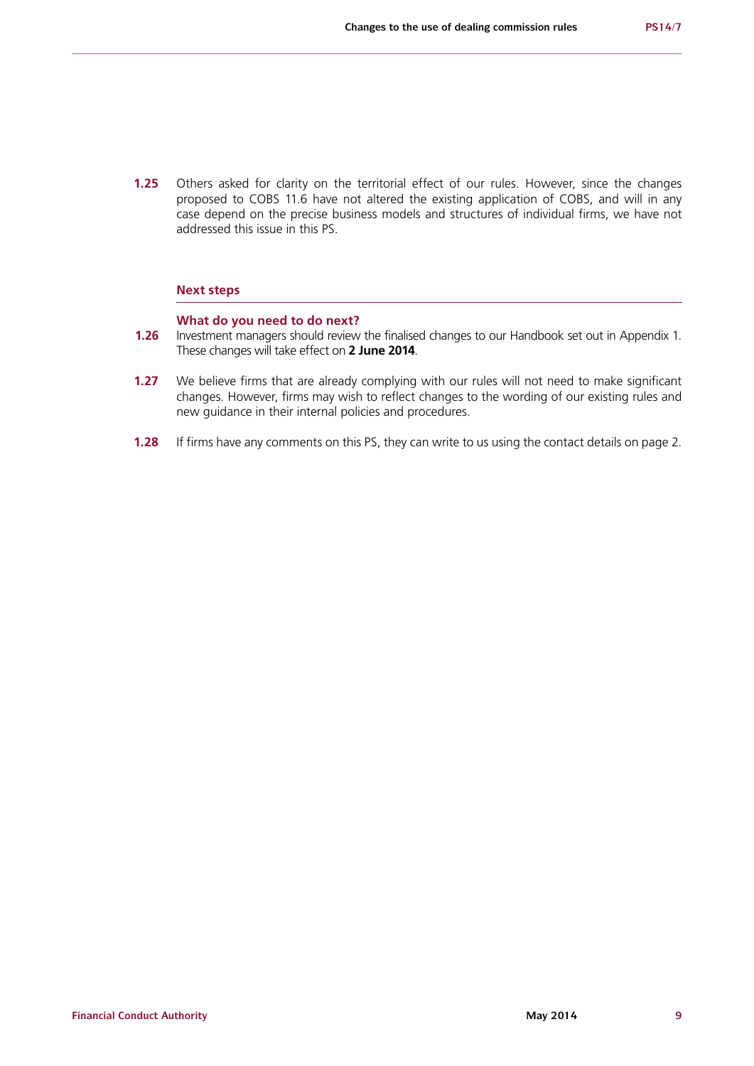**1.25** Others asked for clarity on the territorial effect of our rules. However, since the changes proposed to COBS 11.6 have not altered the existing application of COBS, and will in any case depend on the precise business models and structures of individual firms, we have not addressed this issue in this PS.

### **Next steps**

## **What do you need to do next?**

- **1.26** Investment managers should review the finalised changes to our Handbook set out in Appendix 1. These changes will take effect on **2 June 2014**.
- **1.27** We believe firms that are already complying with our rules will not need to make significant changes. However, firms may wish to reflect changes to the wording of our existing rules and new guidance in their internal policies and procedures.
- **1.28** If firms have any comments on this PS, they can write to us using the contact details on page 2.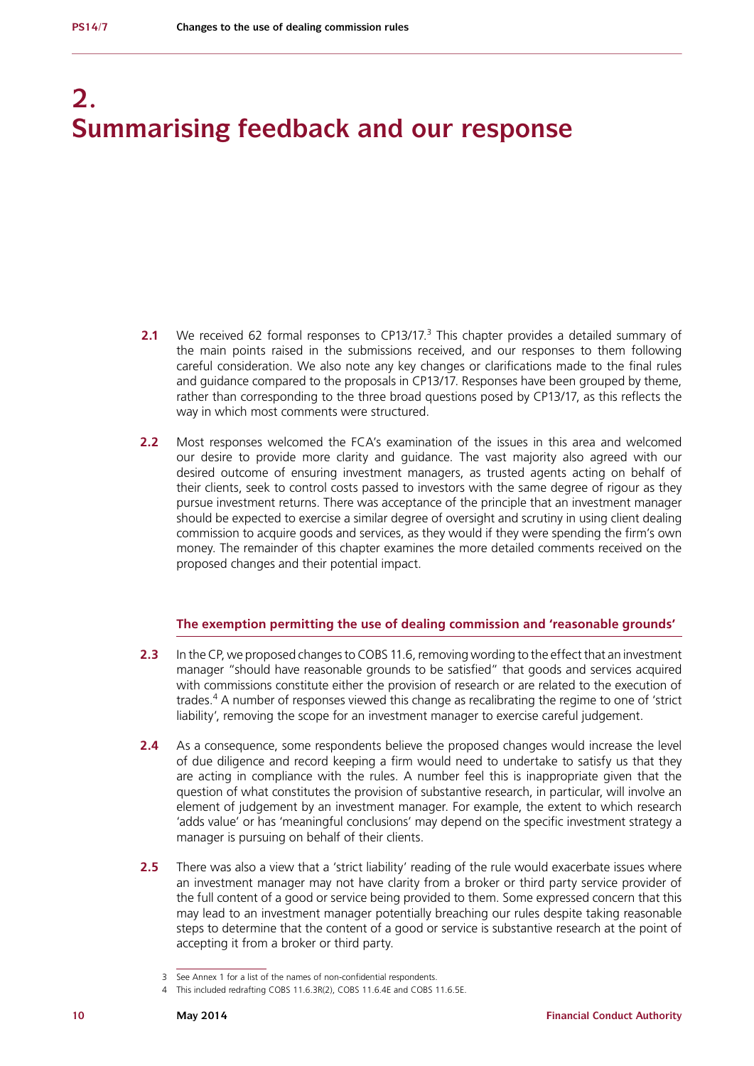# **2. Summarising feedback and our response**

- **2.1** We received 62 formal responses to CP13/17.<sup>3</sup> This chapter provides a detailed summary of the main points raised in the submissions received, and our responses to them following careful consideration. We also note any key changes or clarifications made to the final rules and guidance compared to the proposals in CP13/17. Responses have been grouped by theme, rather than corresponding to the three broad questions posed by CP13/17, as this reflects the way in which most comments were structured.
- **2.2** Most responses welcomed the FCA's examination of the issues in this area and welcomed our desire to provide more clarity and guidance. The vast majority also agreed with our desired outcome of ensuring investment managers, as trusted agents acting on behalf of their clients, seek to control costs passed to investors with the same degree of rigour as they pursue investment returns. There was acceptance of the principle that an investment manager should be expected to exercise a similar degree of oversight and scrutiny in using client dealing commission to acquire goods and services, as they would if they were spending the firm's own money. The remainder of this chapter examines the more detailed comments received on the proposed changes and their potential impact.

# **The exemption permitting the use of dealing commission and 'reasonable grounds'**

- 2.3 In the CP, we proposed changes to COBS 11.6, removing wording to the effect that an investment manager "should have reasonable grounds to be satisfied" that goods and services acquired with commissions constitute either the provision of research or are related to the execution of trades.<sup>4</sup> A number of responses viewed this change as recalibrating the regime to one of 'strict liability', removing the scope for an investment manager to exercise careful judgement.
- **2.4** As a consequence, some respondents believe the proposed changes would increase the level of due diligence and record keeping a firm would need to undertake to satisfy us that they are acting in compliance with the rules. A number feel this is inappropriate given that the question of what constitutes the provision of substantive research, in particular, will involve an element of judgement by an investment manager. For example, the extent to which research 'adds value' or has 'meaningful conclusions' may depend on the specific investment strategy a manager is pursuing on behalf of their clients.
- **2.5** There was also a view that a 'strict liability' reading of the rule would exacerbate issues where an investment manager may not have clarity from a broker or third party service provider of the full content of a good or service being provided to them. Some expressed concern that this may lead to an investment manager potentially breaching our rules despite taking reasonable steps to determine that the content of a good or service is substantive research at the point of accepting it from a broker or third party.

<sup>3</sup> See Annex 1 for a list of the names of non-confidential respondents.

<sup>4</sup> This included redrafting COBS 11.6.3R(2), COBS 11.6.4E and COBS 11.6.5E.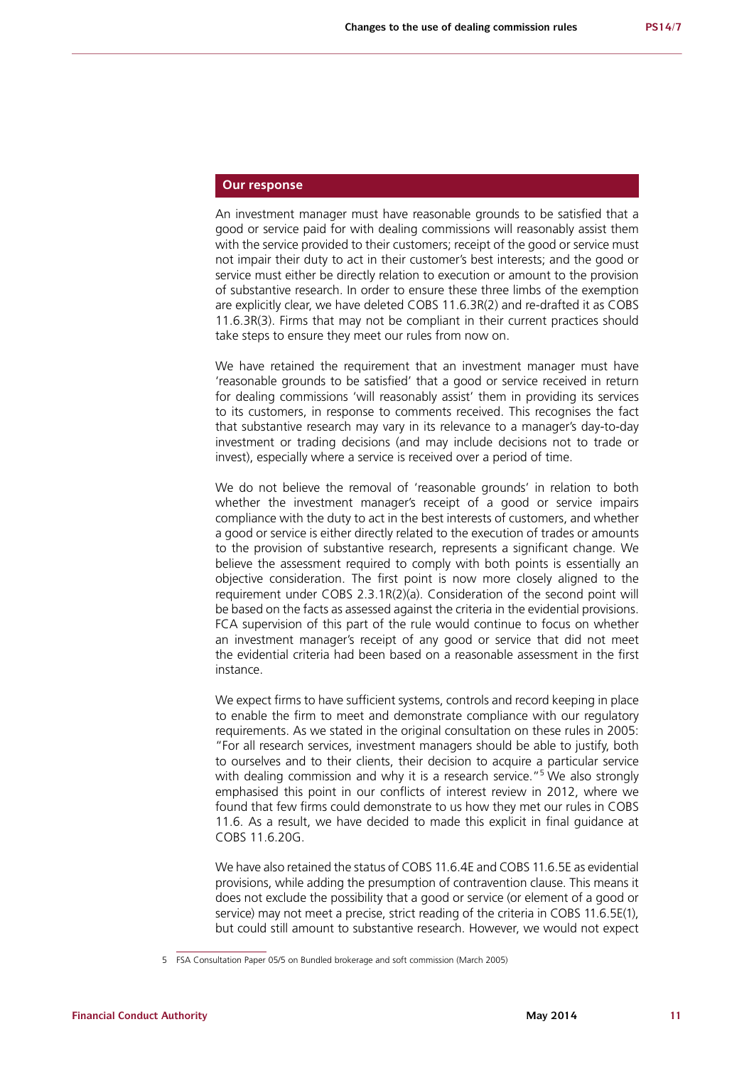# **Our response**

An investment manager must have reasonable grounds to be satisfied that a good or service paid for with dealing commissions will reasonably assist them with the service provided to their customers; receipt of the good or service must not impair their duty to act in their customer's best interests; and the good or service must either be directly relation to execution or amount to the provision of substantive research. In order to ensure these three limbs of the exemption are explicitly clear, we have deleted COBS 11.6.3R(2) and re-drafted it as COBS 11.6.3R(3). Firms that may not be compliant in their current practices should take steps to ensure they meet our rules from now on.

We have retained the requirement that an investment manager must have 'reasonable grounds to be satisfied' that a good or service received in return for dealing commissions 'will reasonably assist' them in providing its services to its customers, in response to comments received. This recognises the fact that substantive research may vary in its relevance to a manager's day-to-day investment or trading decisions (and may include decisions not to trade or invest), especially where a service is received over a period of time.

We do not believe the removal of 'reasonable grounds' in relation to both whether the investment manager's receipt of a good or service impairs compliance with the duty to act in the best interests of customers, and whether a good or service is either directly related to the execution of trades or amounts to the provision of substantive research, represents a significant change. We believe the assessment required to comply with both points is essentially an objective consideration. The first point is now more closely aligned to the requirement under COBS 2.3.1R(2)(a). Consideration of the second point will be based on the facts as assessed against the criteria in the evidential provisions. FCA supervision of this part of the rule would continue to focus on whether an investment manager's receipt of any good or service that did not meet the evidential criteria had been based on a reasonable assessment in the first instance.

We expect firms to have sufficient systems, controls and record keeping in place to enable the firm to meet and demonstrate compliance with our regulatory requirements. As we stated in the original consultation on these rules in 2005: "For all research services, investment managers should be able to justify, both to ourselves and to their clients, their decision to acquire a particular service with dealing commission and why it is a research service."<sup>5</sup> We also strongly emphasised this point in our conflicts of interest review in 2012, where we found that few firms could demonstrate to us how they met our rules in COBS 11.6. As a result, we have decided to made this explicit in final guidance at COBS 11.6.20G.

We have also retained the status of COBS 11.6.4E and COBS 11.6.5E as evidential provisions, while adding the presumption of contravention clause. This means it does not exclude the possibility that a good or service (or element of a good or service) may not meet a precise, strict reading of the criteria in COBS 11.6.5E(1), but could still amount to substantive research. However, we would not expect

<sup>5</sup> FSA Consultation Paper 05/5 on Bundled brokerage and soft commission (March 2005)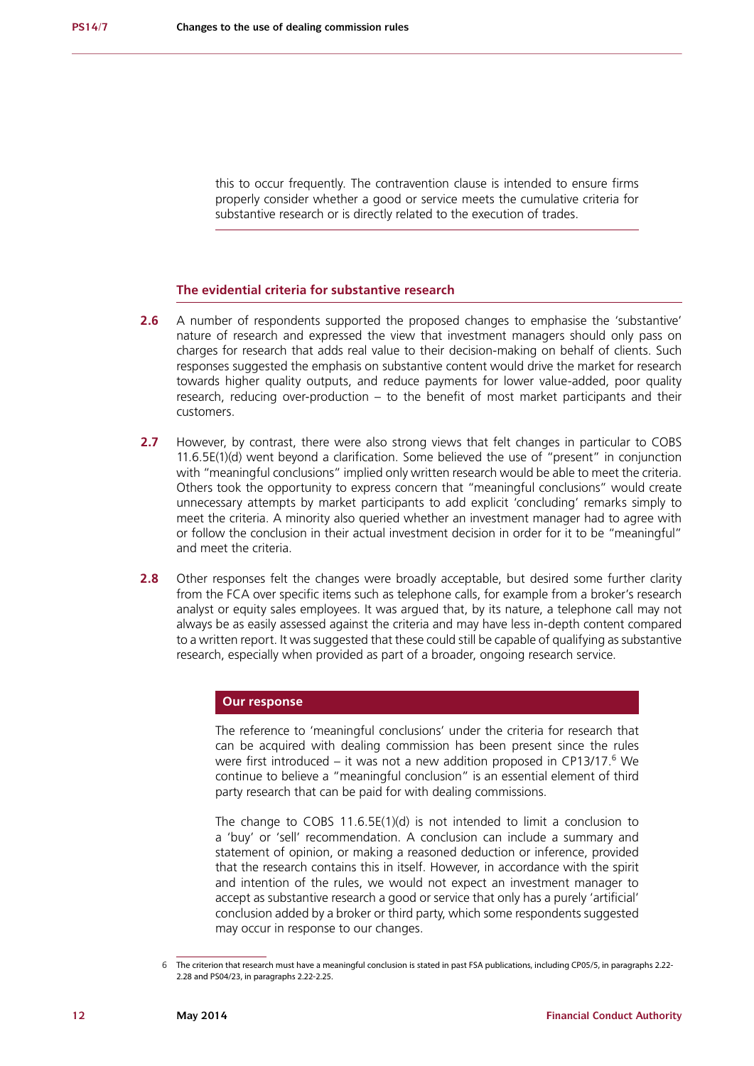this to occur frequently. The contravention clause is intended to ensure firms properly consider whether a good or service meets the cumulative criteria for substantive research or is directly related to the execution of trades.

# **The evidential criteria for substantive research**

- **2.6** A number of respondents supported the proposed changes to emphasise the 'substantive' nature of research and expressed the view that investment managers should only pass on charges for research that adds real value to their decision-making on behalf of clients. Such responses suggested the emphasis on substantive content would drive the market for research towards higher quality outputs, and reduce payments for lower value-added, poor quality research, reducing over-production  $-$  to the benefit of most market participants and their customers.
- **2.7** However, by contrast, there were also strong views that felt changes in particular to COBS 11.6.5E(1)(d) went beyond a clarification. Some believed the use of "present" in conjunction with "meaningful conclusions" implied only written research would be able to meet the criteria. Others took the opportunity to express concern that "meaningful conclusions" would create unnecessary attempts by market participants to add explicit 'concluding' remarks simply to meet the criteria. A minority also queried whether an investment manager had to agree with or follow the conclusion in their actual investment decision in order for it to be "meaningful" and meet the criteria.
- **2.8** Other responses felt the changes were broadly acceptable, but desired some further clarity from the FCA over specific items such as telephone calls, for example from a broker's research analyst or equity sales employees. It was argued that, by its nature, a telephone call may not always be as easily assessed against the criteria and may have less in-depth content compared to a written report. It was suggested that these could still be capable of qualifying as substantive research, especially when provided as part of a broader, ongoing research service.

# **Our response**

The reference to 'meaningful conclusions' under the criteria for research that can be acquired with dealing commission has been present since the rules were first introduced  $-$  it was not a new addition proposed in CP13/17. $^6$  We continue to believe a "meaningful conclusion" is an essential element of third party research that can be paid for with dealing commissions.

The change to COBS 11.6.5E(1)(d) is not intended to limit a conclusion to a 'buy' or 'sell' recommendation. A conclusion can include a summary and statement of opinion, or making a reasoned deduction or inference, provided that the research contains this in itself. However, in accordance with the spirit and intention of the rules, we would not expect an investment manager to accept as substantive research a good or service that only has a purely 'artificial' conclusion added by a broker or third party, which some respondents suggested may occur in response to our changes.

The criterion that research must have a meaningful conclusion is stated in past FSA publications, including CP05/5, in paragraphs 2.22-2.28 and PS04/23, in paragraphs 2.22-2.25.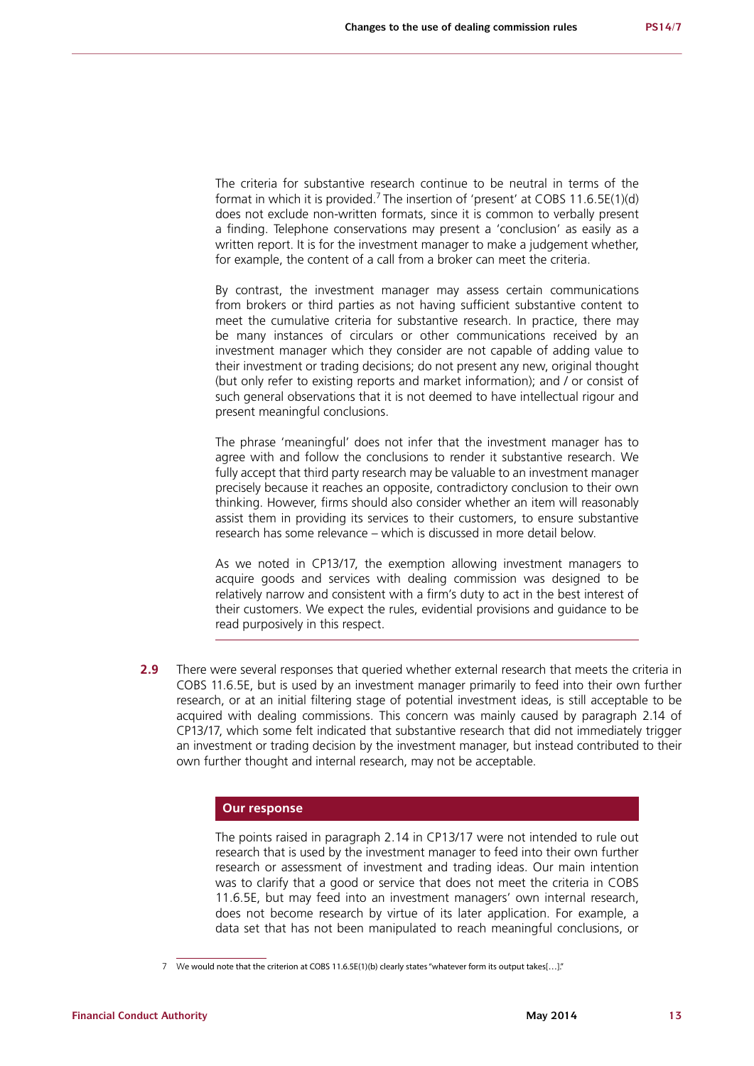The criteria for substantive research continue to be neutral in terms of the format in which it is provided.<sup>7</sup> The insertion of 'present' at COBS 11.6.5E(1)(d) does not exclude non-written formats, since it is common to verbally present a finding. Telephone conservations may present a 'conclusion' as easily as a written report. It is for the investment manager to make a judgement whether, for example, the content of a call from a broker can meet the criteria.

By contrast, the investment manager may assess certain communications from brokers or third parties as not having sufficient substantive content to meet the cumulative criteria for substantive research. In practice, there may be many instances of circulars or other communications received by an investment manager which they consider are not capable of adding value to their investment or trading decisions; do not present any new, original thought (but only refer to existing reports and market information); and / or consist of such general observations that it is not deemed to have intellectual rigour and present meaningful conclusions.

The phrase 'meaningful' does not infer that the investment manager has to agree with and follow the conclusions to render it substantive research. We fully accept that third party research may be valuable to an investment manager precisely because it reaches an opposite, contradictory conclusion to their own thinking. However, firms should also consider whether an item will reasonably assist them in providing its services to their customers, to ensure substantive research has some relevance – which is discussed in more detail below.

As we noted in CP13/17, the exemption allowing investment managers to acquire goods and services with dealing commission was designed to be relatively narrow and consistent with a firm's duty to act in the best interest of their customers. We expect the rules, evidential provisions and guidance to be read purposively in this respect.

**2.9** There were several responses that queried whether external research that meets the criteria in COBS 11.6.5E, but is used by an investment manager primarily to feed into their own further research, or at an initial filtering stage of potential investment ideas, is still acceptable to be acquired with dealing commissions. This concern was mainly caused by paragraph 2.14 of CP13/17, which some felt indicated that substantive research that did not immediately trigger an investment or trading decision by the investment manager, but instead contributed to their own further thought and internal research, may not be acceptable.

# **Our response**

The points raised in paragraph 2.14 in CP13/17 were not intended to rule out research that is used by the investment manager to feed into their own further research or assessment of investment and trading ideas. Our main intention was to clarify that a good or service that does not meet the criteria in COBS 11.6.5E, but may feed into an investment managers' own internal research, does not become research by virtue of its later application. For example, a data set that has not been manipulated to reach meaningful conclusions, or

<sup>7</sup> We would note that the criterion at COBS 11.6.5E(1)(b) clearly states "whatever form its output takes[…]."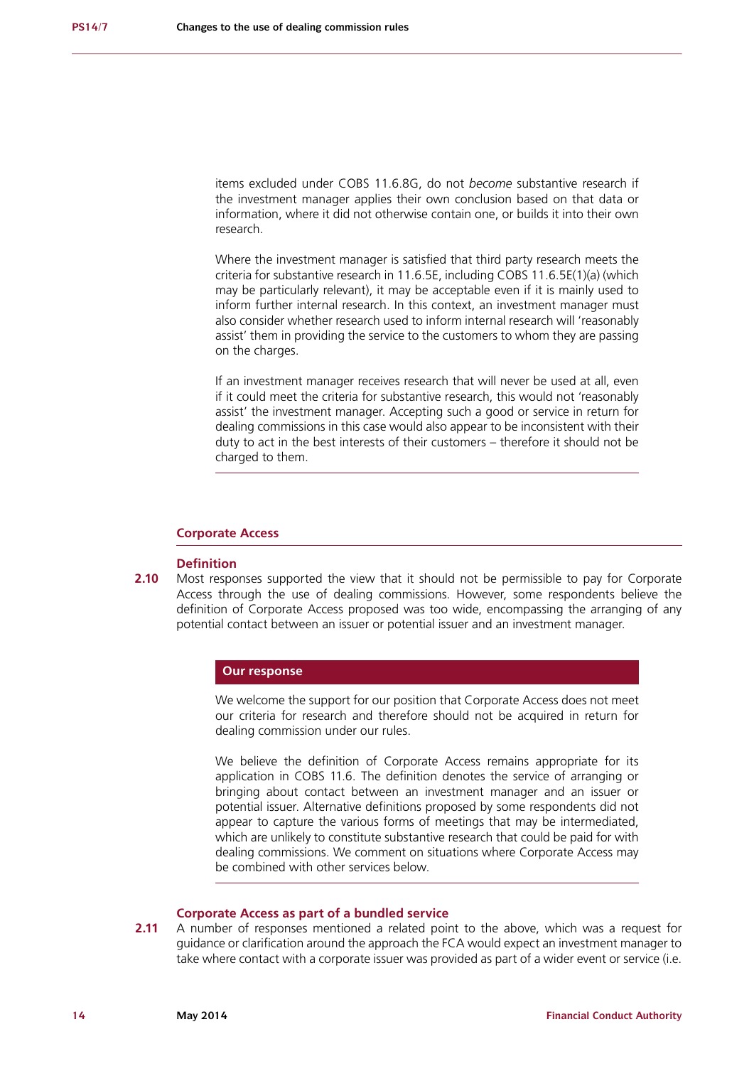items excluded under COBS 11.6.8G, do not *become* substantive research if the investment manager applies their own conclusion based on that data or information, where it did not otherwise contain one, or builds it into their own research.

Where the investment manager is satisfied that third party research meets the criteria for substantive research in 11.6.5E, including COBS 11.6.5E(1)(a) (which may be particularly relevant), it may be acceptable even if it is mainly used to inform further internal research. In this context, an investment manager must also consider whether research used to inform internal research will 'reasonably assist' them in providing the service to the customers to whom they are passing on the charges.

If an investment manager receives research that will never be used at all, even if it could meet the criteria for substantive research, this would not 'reasonably assist' the investment manager. Accepting such a good or service in return for dealing commissions in this case would also appear to be inconsistent with their duty to act in the best interests of their customers – therefore it should not be charged to them.

# **Corporate Access**

#### **Definition**

**2.10** Most responses supported the view that it should not be permissible to pay for Corporate Access through the use of dealing commissions. However, some respondents believe the definition of Corporate Access proposed was too wide, encompassing the arranging of any potential contact between an issuer or potential issuer and an investment manager.

# **Our response**

We welcome the support for our position that Corporate Access does not meet our criteria for research and therefore should not be acquired in return for dealing commission under our rules.

We believe the definition of Corporate Access remains appropriate for its application in COBS 11.6. The definition denotes the service of arranging or bringing about contact between an investment manager and an issuer or potential issuer. Alternative definitions proposed by some respondents did not appear to capture the various forms of meetings that may be intermediated, which are unlikely to constitute substantive research that could be paid for with dealing commissions. We comment on situations where Corporate Access may be combined with other services below.

# **Corporate Access as part of a bundled service**

**2.11** A number of responses mentioned a related point to the above, which was a request for guidance or clarification around the approach the FCA would expect an investment manager to take where contact with a corporate issuer was provided as part of a wider event or service (i.e.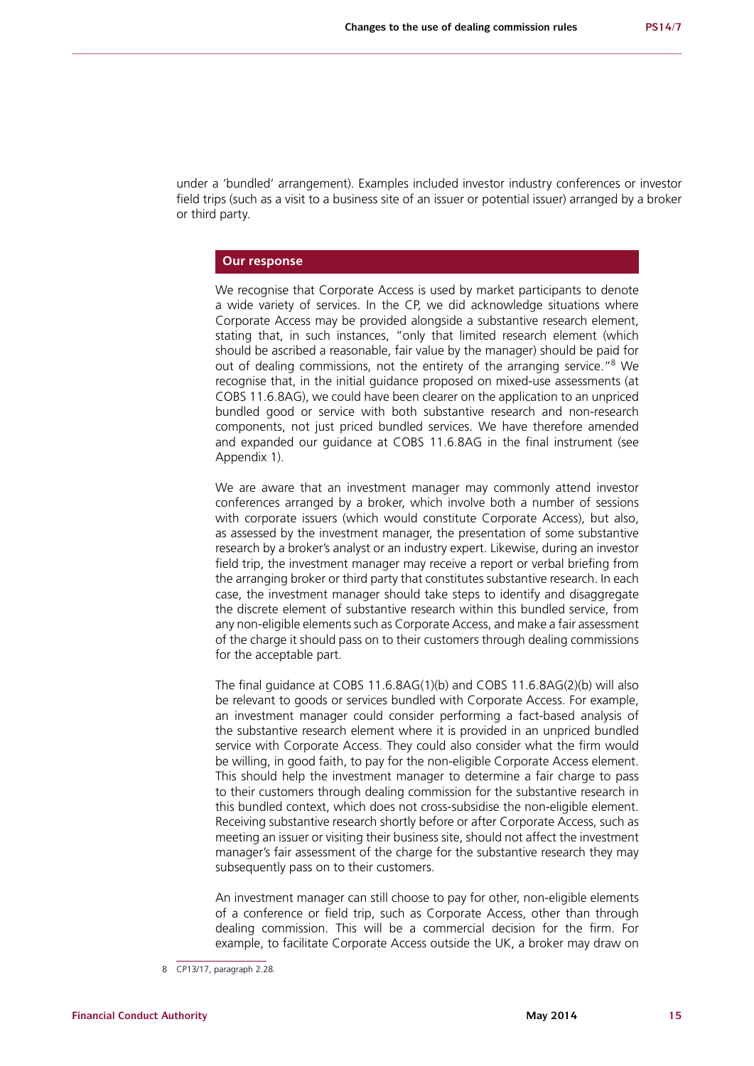under a 'bundled' arrangement). Examples included investor industry conferences or investor field trips (such as a visit to a business site of an issuer or potential issuer) arranged by a broker or third party.

# **Our response**

We recognise that Corporate Access is used by market participants to denote a wide variety of services. In the CP, we did acknowledge situations where Corporate Access may be provided alongside a substantive research element, stating that, in such instances, "only that limited research element (which should be ascribed a reasonable, fair value by the manager) should be paid for out of dealing commissions, not the entirety of the arranging service."<sup>8</sup> We recognise that, in the initial guidance proposed on mixed-use assessments (at COBS 11.6.8AG), we could have been clearer on the application to an unpriced bundled good or service with both substantive research and non-research components, not just priced bundled services. We have therefore amended and expanded our guidance at COBS 11.6.8AG in the final instrument (see Appendix 1).

We are aware that an investment manager may commonly attend investor conferences arranged by a broker, which involve both a number of sessions with corporate issuers (which would constitute Corporate Access), but also, as assessed by the investment manager, the presentation of some substantive research by a broker's analyst or an industry expert. Likewise, during an investor field trip, the investment manager may receive a report or verbal briefing from the arranging broker or third party that constitutes substantive research. In each case, the investment manager should take steps to identify and disaggregate the discrete element of substantive research within this bundled service, from any non-eligible elements such as Corporate Access, and make a fair assessment of the charge it should pass on to their customers through dealing commissions for the acceptable part.

The final guidance at COBS 11.6.8AG(1)(b) and COBS 11.6.8AG(2)(b) will also be relevant to goods or services bundled with Corporate Access. For example, an investment manager could consider performing a fact-based analysis of the substantive research element where it is provided in an unpriced bundled service with Corporate Access. They could also consider what the firm would be willing, in good faith, to pay for the non-eligible Corporate Access element. This should help the investment manager to determine a fair charge to pass to their customers through dealing commission for the substantive research in this bundled context, which does not cross-subsidise the non-eligible element. Receiving substantive research shortly before or after Corporate Access, such as meeting an issuer or visiting their business site, should not affect the investment manager's fair assessment of the charge for the substantive research they may subsequently pass on to their customers.

An investment manager can still choose to pay for other, non-eligible elements of a conference or field trip, such as Corporate Access, other than through dealing commission. This will be a commercial decision for the firm. For example, to facilitate Corporate Access outside the UK, a broker may draw on

<sup>8</sup> CP13/17, paragraph 2.28.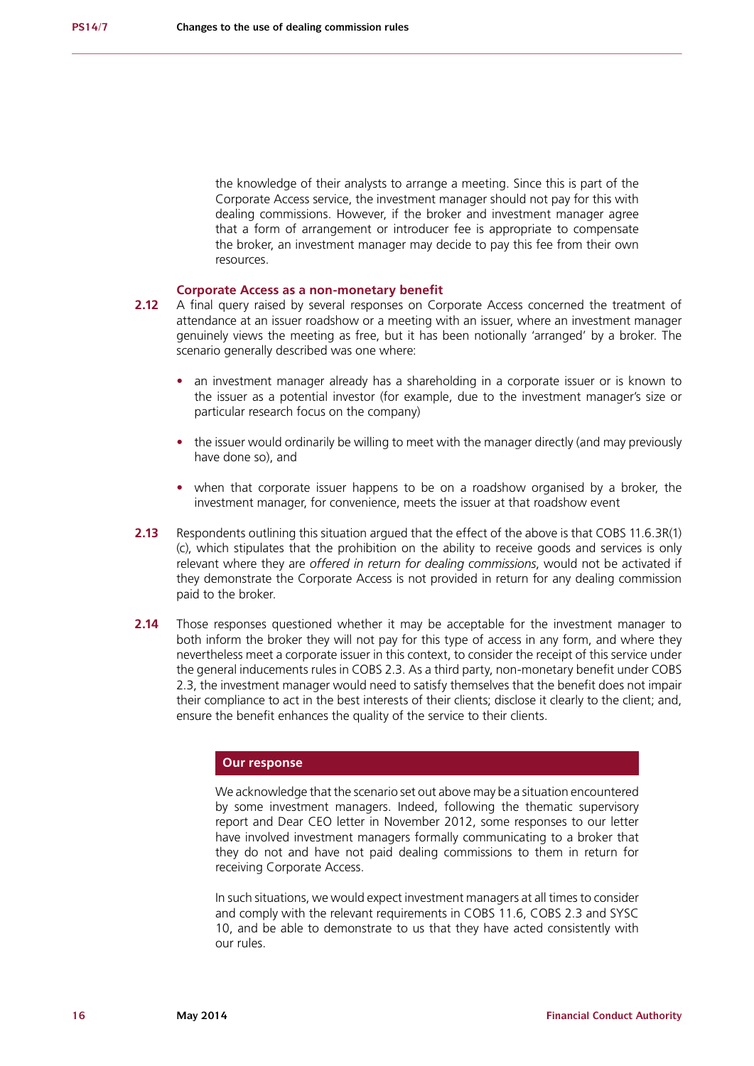the knowledge of their analysts to arrange a meeting. Since this is part of the Corporate Access service, the investment manager should not pay for this with dealing commissions. However, if the broker and investment manager agree that a form of arrangement or introducer fee is appropriate to compensate the broker, an investment manager may decide to pay this fee from their own resources.

# **Corporate Access as a non-monetary benefit**

- **2.12** A final query raised by several responses on Corporate Access concerned the treatment of attendance at an issuer roadshow or a meeting with an issuer, where an investment manager genuinely views the meeting as free, but it has been notionally 'arranged' by a broker. The scenario generally described was one where:
	- an investment manager already has a shareholding in a corporate issuer or is known to the issuer as a potential investor (for example, due to the investment manager's size or particular research focus on the company)
	- the issuer would ordinarily be willing to meet with the manager directly (and may previously have done so), and
	- when that corporate issuer happens to be on a roadshow organised by a broker, the investment manager, for convenience, meets the issuer at that roadshow event
- **2.13** Respondents outlining this situation argued that the effect of the above is that COBS 11.6.3R(1) (c), which stipulates that the prohibition on the ability to receive goods and services is only relevant where they are *offered in return for dealing commissions*, would not be activated if they demonstrate the Corporate Access is not provided in return for any dealing commission paid to the broker.
- **2.14** Those responses questioned whether it may be acceptable for the investment manager to both inform the broker they will not pay for this type of access in any form, and where they nevertheless meet a corporate issuer in this context, to consider the receipt of this service under the general inducements rules in COBS 2.3. As a third party, non-monetary benefit under COBS 2.3, the investment manager would need to satisfy themselves that the benefit does not impair their compliance to act in the best interests of their clients; disclose it clearly to the client; and, ensure the benefit enhances the quality of the service to their clients.

# **Our response**

We acknowledge that the scenario set out above may be a situation encountered by some investment managers. Indeed, following the thematic supervisory report and Dear CEO letter in November 2012, some responses to our letter have involved investment managers formally communicating to a broker that they do not and have not paid dealing commissions to them in return for receiving Corporate Access.

In such situations, we would expect investment managers at all times to consider and comply with the relevant requirements in COBS 11.6, COBS 2.3 and SYSC 10, and be able to demonstrate to us that they have acted consistently with our rules.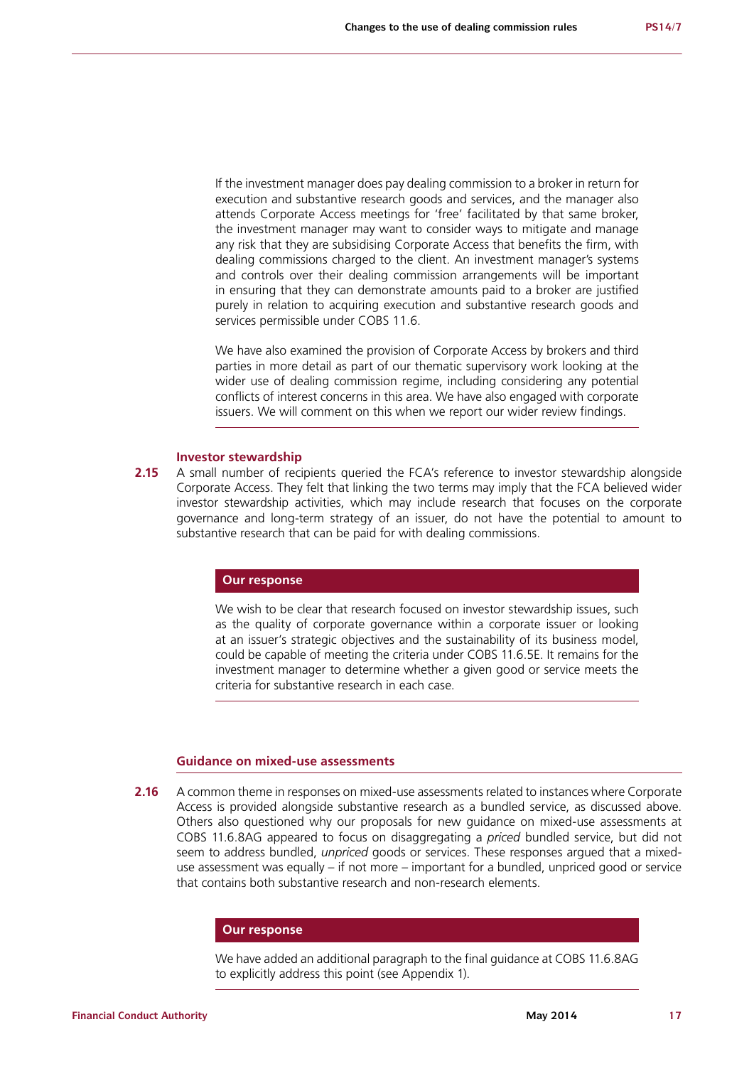If the investment manager does pay dealing commission to a broker in return for execution and substantive research goods and services, and the manager also attends Corporate Access meetings for 'free' facilitated by that same broker, the investment manager may want to consider ways to mitigate and manage any risk that they are subsidising Corporate Access that benefits the firm, with dealing commissions charged to the client. An investment manager's systems and controls over their dealing commission arrangements will be important in ensuring that they can demonstrate amounts paid to a broker are justified purely in relation to acquiring execution and substantive research goods and services permissible under COBS 11.6.

We have also examined the provision of Corporate Access by brokers and third parties in more detail as part of our thematic supervisory work looking at the wider use of dealing commission regime, including considering any potential conflicts of interest concerns in this area. We have also engaged with corporate issuers. We will comment on this when we report our wider review findings.

#### **Investor stewardship**

**2.15** A small number of recipients queried the FCA's reference to investor stewardship alongside Corporate Access. They felt that linking the two terms may imply that the FCA believed wider investor stewardship activities, which may include research that focuses on the corporate governance and long-term strategy of an issuer, do not have the potential to amount to substantive research that can be paid for with dealing commissions.

# **Our response**

We wish to be clear that research focused on investor stewardship issues, such as the quality of corporate governance within a corporate issuer or looking at an issuer's strategic objectives and the sustainability of its business model, could be capable of meeting the criteria under COBS 11.6.5E. It remains for the investment manager to determine whether a given good or service meets the criteria for substantive research in each case.

## **Guidance on mixed-use assessments**

**2.16** A common theme in responses on mixed-use assessments related to instances where Corporate Access is provided alongside substantive research as a bundled service, as discussed above. Others also questioned why our proposals for new guidance on mixed-use assessments at COBS 11.6.8AG appeared to focus on disaggregating a *priced* bundled service, but did not seem to address bundled, *unpriced* goods or services. These responses argued that a mixeduse assessment was equally – if not more – important for a bundled, unpriced good or service that contains both substantive research and non-research elements.

### **Our response**

We have added an additional paragraph to the final guidance at COBS 11.6.8AG to explicitly address this point (see Appendix 1).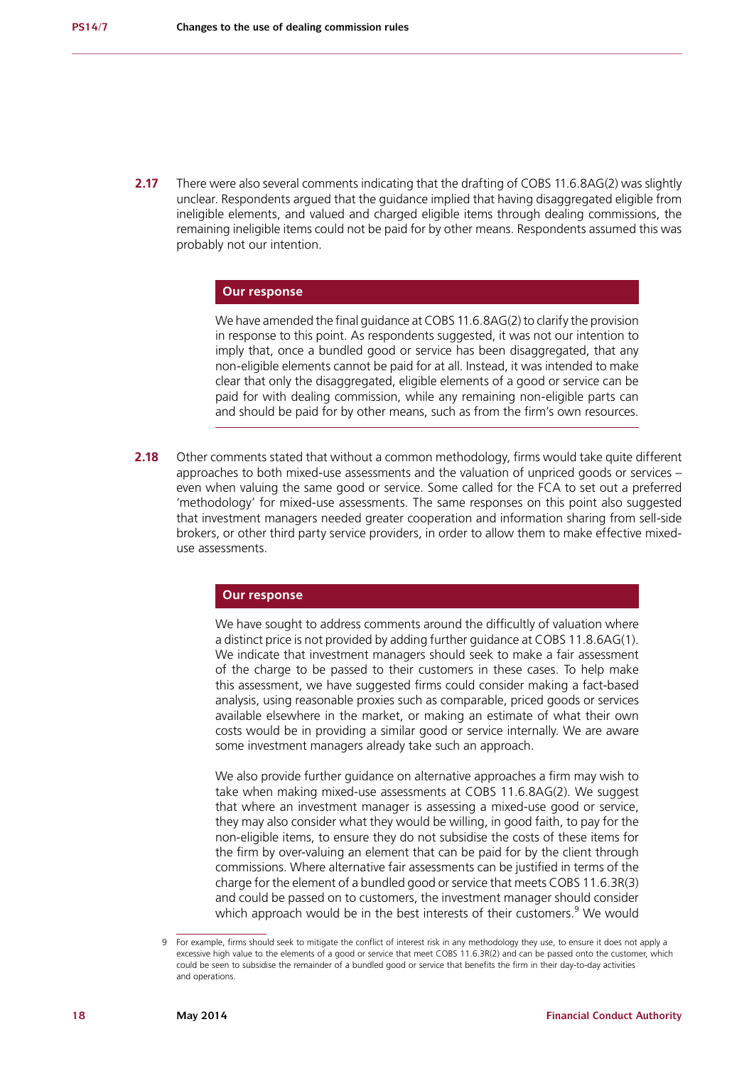**2.17** There were also several comments indicating that the drafting of COBS 11.6.8AG(2) was slightly unclear. Respondents argued that the guidance implied that having disaggregated eligible from ineligible elements, and valued and charged eligible items through dealing commissions, the remaining ineligible items could not be paid for by other means. Respondents assumed this was probably not our intention.

# **Our response**

We have amended the final guidance at COBS 11.6.8AG(2) to clarify the provision in response to this point. As respondents suggested, it was not our intention to imply that, once a bundled good or service has been disaggregated, that any non-eligible elements cannot be paid for at all. Instead, it was intended to make clear that only the disaggregated, eligible elements of a good or service can be paid for with dealing commission, while any remaining non-eligible parts can and should be paid for by other means, such as from the firm's own resources.

**2.18** Other comments stated that without a common methodology, firms would take quite different approaches to both mixed-use assessments and the valuation of unpriced goods or services – even when valuing the same good or service. Some called for the FCA to set out a preferred 'methodology' for mixed-use assessments. The same responses on this point also suggested that investment managers needed greater cooperation and information sharing from sell-side brokers, or other third party service providers, in order to allow them to make effective mixeduse assessments.

### **Our response**

We have sought to address comments around the difficultly of valuation where a distinct price is not provided by adding further guidance at COBS 11.8.6AG(1). We indicate that investment managers should seek to make a fair assessment of the charge to be passed to their customers in these cases. To help make this assessment, we have suggested firms could consider making a fact-based analysis, using reasonable proxies such as comparable, priced goods or services available elsewhere in the market, or making an estimate of what their own costs would be in providing a similar good or service internally. We are aware some investment managers already take such an approach.

We also provide further guidance on alternative approaches a firm may wish to take when making mixed-use assessments at COBS 11.6.8AG(2). We suggest that where an investment manager is assessing a mixed-use good or service, they may also consider what they would be willing, in good faith, to pay for the non-eligible items, to ensure they do not subsidise the costs of these items for the firm by over-valuing an element that can be paid for by the client through commissions. Where alternative fair assessments can be justified in terms of the charge for the element of a bundled good or service that meets COBS 11.6.3R(3) and could be passed on to customers, the investment manager should consider which approach would be in the best interests of their customers.<sup>9</sup> We would

<sup>9</sup> For example, firms should seek to mitigate the conflict of interest risk in any methodology they use, to ensure it does not apply a excessive high value to the elements of a good or service that meet COBS 11.6.3R(2) and can be passed onto the customer, which could be seen to subsidise the remainder of a bundled good or service that benefits the firm in their day-to-day activities and operations.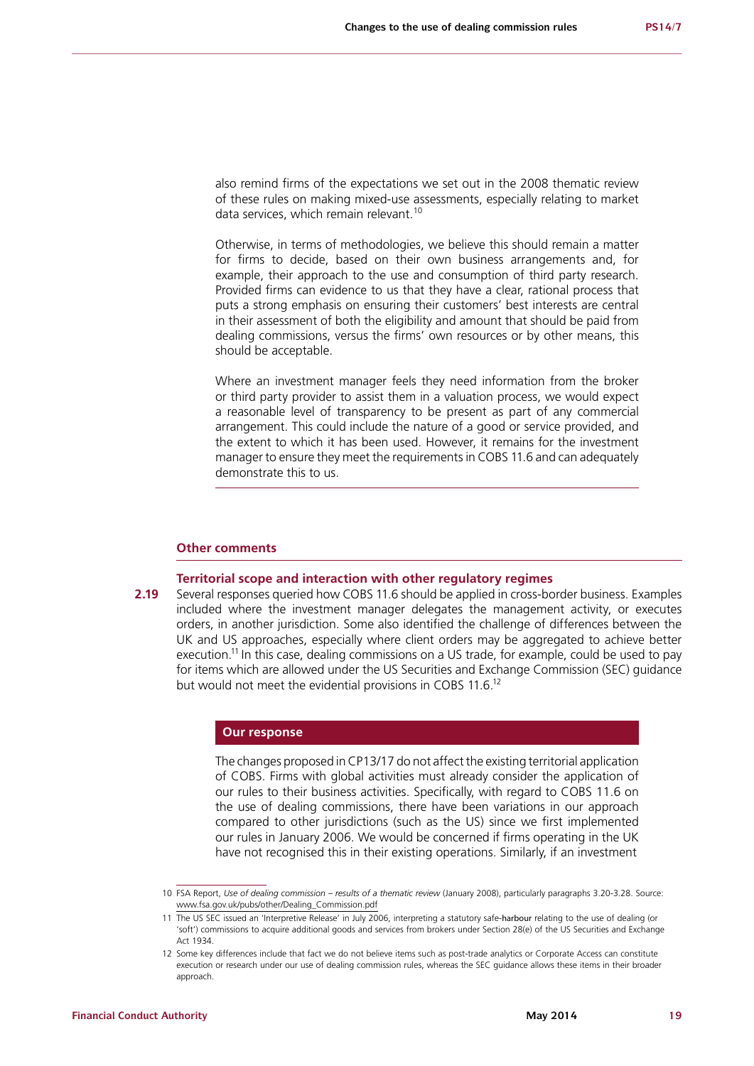also remind firms of the expectations we set out in the 2008 thematic review of these rules on making mixed-use assessments, especially relating to market data services, which remain relevant.<sup>10</sup>

Otherwise, in terms of methodologies, we believe this should remain a matter for firms to decide, based on their own business arrangements and, for example, their approach to the use and consumption of third party research. Provided firms can evidence to us that they have a clear, rational process that puts a strong emphasis on ensuring their customers' best interests are central in their assessment of both the eligibility and amount that should be paid from dealing commissions, versus the firms' own resources or by other means, this should be acceptable.

Where an investment manager feels they need information from the broker or third party provider to assist them in a valuation process, we would expect a reasonable level of transparency to be present as part of any commercial arrangement. This could include the nature of a good or service provided, and the extent to which it has been used. However, it remains for the investment manager to ensure they meet the requirements in COBS 11.6 and can adequately demonstrate this to us.

# **Other comments**

### **Territorial scope and interaction with other regulatory regimes**

**2.19** Several responses queried how COBS 11.6 should be applied in cross-border business. Examples included where the investment manager delegates the management activity, or executes orders, in another jurisdiction. Some also identified the challenge of differences between the UK and US approaches, especially where client orders may be aggregated to achieve better execution.<sup>11</sup> In this case, dealing commissions on a US trade, for example, could be used to pay for items which are allowed under the US Securities and Exchange Commission (SEC) guidance but would not meet the evidential provisions in COBS 11.6.<sup>12</sup>

#### **Our response**

The changes proposed in CP13/17 do not affect the existing territorial application of COBS. Firms with global activities must already consider the application of our rules to their business activities. Specifically, with regard to COBS 11.6 on the use of dealing commissions, there have been variations in our approach compared to other jurisdictions (such as the US) since we first implemented our rules in January 2006. We would be concerned if firms operating in the UK have not recognised this in their existing operations. Similarly, if an investment

<sup>10</sup> FSA Report, *Use of dealing commission – results of a thematic review* (January 2008), particularly paragraphs 3.20-3.28. Source: [www.fsa.gov.uk/pubs/other/Dealing\\_Commission.pdf](http://www.fsa.gov.uk/pubs/other/Dealing_Commission.pdf)

<sup>11</sup> The US SEC issued an 'Interpretive Release' in July 2006, interpreting a statutory safe-harbour relating to the use of dealing (or 'soft') commissions to acquire additional goods and services from brokers under Section 28(e) of the US Securities and Exchange Act 1934.

<sup>12</sup> Some key differences include that fact we do not believe items such as post-trade analytics or Corporate Access can constitute execution or research under our use of dealing commission rules, whereas the SEC guidance allows these items in their broader approach.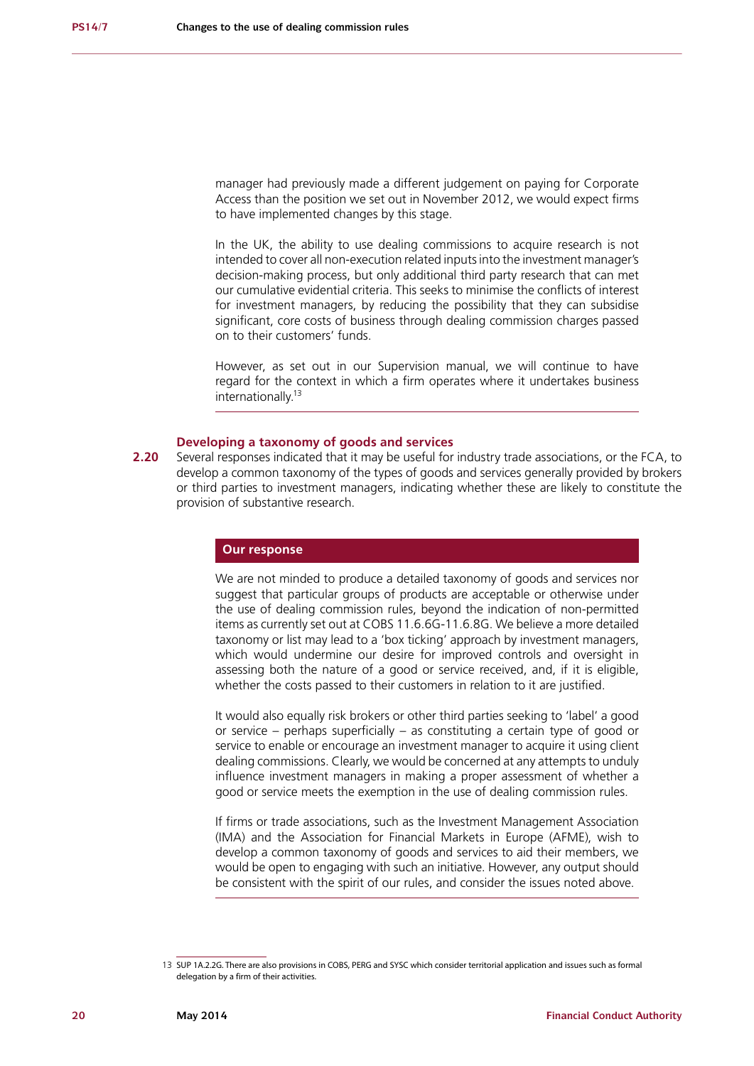manager had previously made a different judgement on paying for Corporate Access than the position we set out in November 2012, we would expect firms to have implemented changes by this stage.

In the UK, the ability to use dealing commissions to acquire research is not intended to cover all non-execution related inputs into the investment manager's decision-making process, but only additional third party research that can met our cumulative evidential criteria. This seeks to minimise the conflicts of interest for investment managers, by reducing the possibility that they can subsidise significant, core costs of business through dealing commission charges passed on to their customers' funds.

However, as set out in our Supervision manual, we will continue to have regard for the context in which a firm operates where it undertakes business internationally.<sup>13</sup>

# **Developing a taxonomy of goods and services**

**2.20** Several responses indicated that it may be useful for industry trade associations, or the FCA, to develop a common taxonomy of the types of goods and services generally provided by brokers or third parties to investment managers, indicating whether these are likely to constitute the provision of substantive research.

### **Our response**

We are not minded to produce a detailed taxonomy of goods and services nor suggest that particular groups of products are acceptable or otherwise under the use of dealing commission rules, beyond the indication of non-permitted items as currently set out at COBS 11.6.6G-11.6.8G. We believe a more detailed taxonomy or list may lead to a 'box ticking' approach by investment managers, which would undermine our desire for improved controls and oversight in assessing both the nature of a good or service received, and, if it is eligible, whether the costs passed to their customers in relation to it are justified.

It would also equally risk brokers or other third parties seeking to 'label' a good or service – perhaps superficially – as constituting a certain type of good or service to enable or encourage an investment manager to acquire it using client dealing commissions. Clearly, we would be concerned at any attempts to unduly influence investment managers in making a proper assessment of whether a good or service meets the exemption in the use of dealing commission rules.

If firms or trade associations, such as the Investment Management Association (IMA) and the Association for Financial Markets in Europe (AFME), wish to develop a common taxonomy of goods and services to aid their members, we would be open to engaging with such an initiative. However, any output should be consistent with the spirit of our rules, and consider the issues noted above.

<sup>13</sup> SUP 1A.2.2G. There are also provisions in COBS, PERG and SYSC which consider territorial application and issues such as formal delegation by a firm of their activities.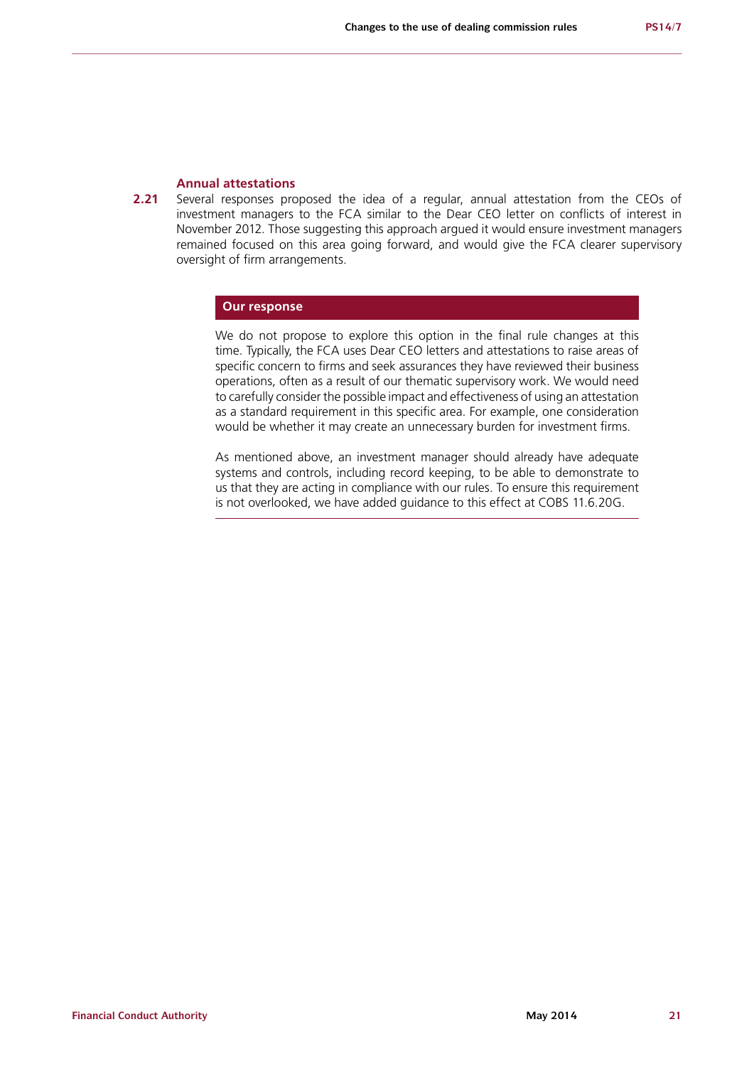### **Annual attestations**

**2.21** Several responses proposed the idea of a regular, annual attestation from the CEOs of investment managers to the FCA similar to the Dear CEO letter on conflicts of interest in November 2012. Those suggesting this approach argued it would ensure investment managers remained focused on this area going forward, and would give the FCA clearer supervisory oversight of firm arrangements.

### **Our response**

We do not propose to explore this option in the final rule changes at this time. Typically, the FCA uses Dear CEO letters and attestations to raise areas of specific concern to firms and seek assurances they have reviewed their business operations, often as a result of our thematic supervisory work. We would need to carefully consider the possible impact and effectiveness of using an attestation as a standard requirement in this specific area. For example, one consideration would be whether it may create an unnecessary burden for investment firms.

As mentioned above, an investment manager should already have adequate systems and controls, including record keeping, to be able to demonstrate to us that they are acting in compliance with our rules. To ensure this requirement is not overlooked, we have added guidance to this effect at COBS 11.6.20G.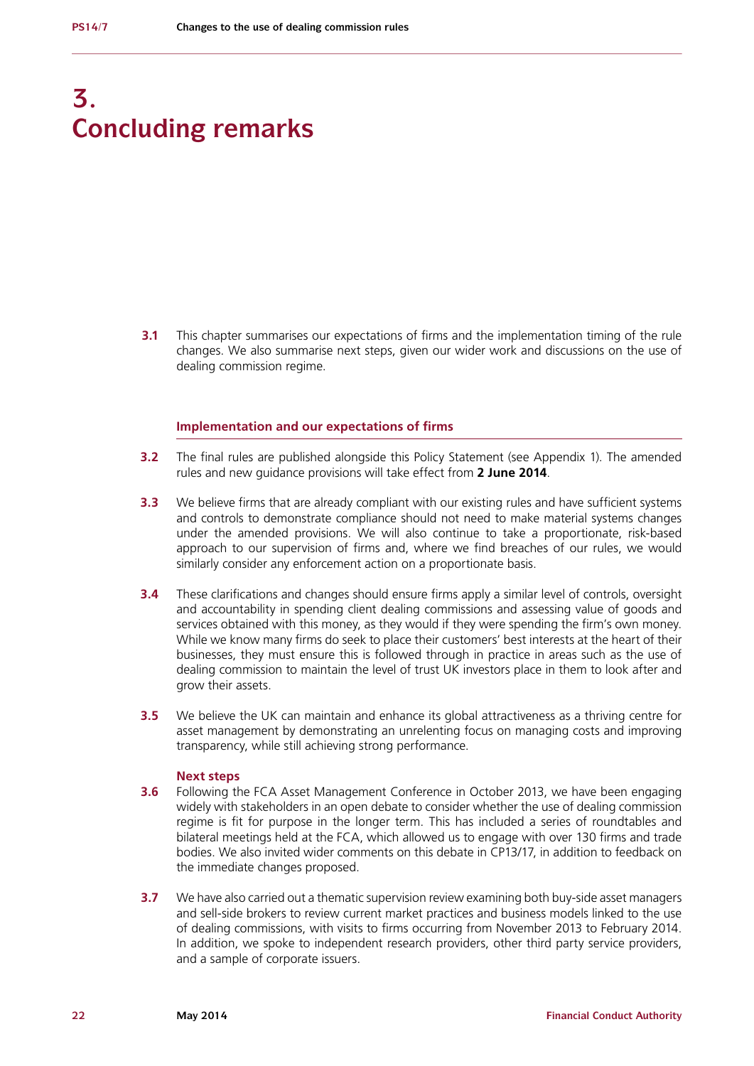# **3. Concluding remarks**

**3.1** This chapter summarises our expectations of firms and the implementation timing of the rule changes. We also summarise next steps, given our wider work and discussions on the use of dealing commission regime.

# **Implementation and our expectations of firms**

- **3.2** The final rules are published alongside this Policy Statement (see Appendix 1). The amended rules and new guidance provisions will take effect from **2 June 2014**.
- **3.3** We believe firms that are already compliant with our existing rules and have sufficient systems and controls to demonstrate compliance should not need to make material systems changes under the amended provisions. We will also continue to take a proportionate, risk-based approach to our supervision of firms and, where we find breaches of our rules, we would similarly consider any enforcement action on a proportionate basis.
- **3.4** These clarifications and changes should ensure firms apply a similar level of controls, oversight and accountability in spending client dealing commissions and assessing value of goods and services obtained with this money, as they would if they were spending the firm's own money. While we know many firms do seek to place their customers' best interests at the heart of their businesses, they must ensure this is followed through in practice in areas such as the use of dealing commission to maintain the level of trust UK investors place in them to look after and grow their assets.
- **3.5** We believe the UK can maintain and enhance its global attractiveness as a thriving centre for asset management by demonstrating an unrelenting focus on managing costs and improving transparency, while still achieving strong performance.

#### **Next steps**

- **3.6** Following the FCA Asset Management Conference in October 2013, we have been engaging widely with stakeholders in an open debate to consider whether the use of dealing commission regime is fit for purpose in the longer term. This has included a series of roundtables and bilateral meetings held at the FCA, which allowed us to engage with over 130 firms and trade bodies. We also invited wider comments on this debate in CP13/17, in addition to feedback on the immediate changes proposed.
- **3.7** We have also carried out a thematic supervision review examining both buy-side asset managers and sell-side brokers to review current market practices and business models linked to the use of dealing commissions, with visits to firms occurring from November 2013 to February 2014. In addition, we spoke to independent research providers, other third party service providers, and a sample of corporate issuers.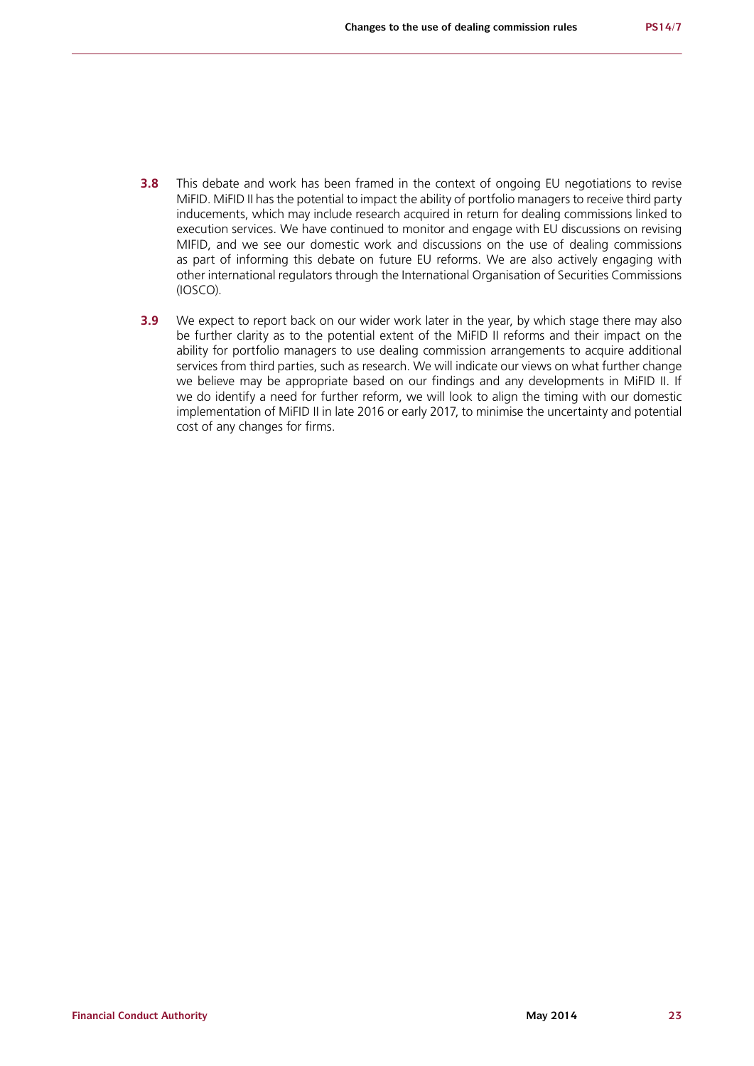- **3.8** This debate and work has been framed in the context of ongoing EU negotiations to revise MiFID. MiFID II has the potential to impact the ability of portfolio managers to receive third party inducements, which may include research acquired in return for dealing commissions linked to execution services. We have continued to monitor and engage with EU discussions on revising MIFID, and we see our domestic work and discussions on the use of dealing commissions as part of informing this debate on future EU reforms. We are also actively engaging with other international regulators through the International Organisation of Securities Commissions (IOSCO).
- **3.9** We expect to report back on our wider work later in the year, by which stage there may also be further clarity as to the potential extent of the MiFID II reforms and their impact on the ability for portfolio managers to use dealing commission arrangements to acquire additional services from third parties, such as research. We will indicate our views on what further change we believe may be appropriate based on our findings and any developments in MiFID II. If we do identify a need for further reform, we will look to align the timing with our domestic implementation of MiFID II in late 2016 or early 2017, to minimise the uncertainty and potential cost of any changes for firms.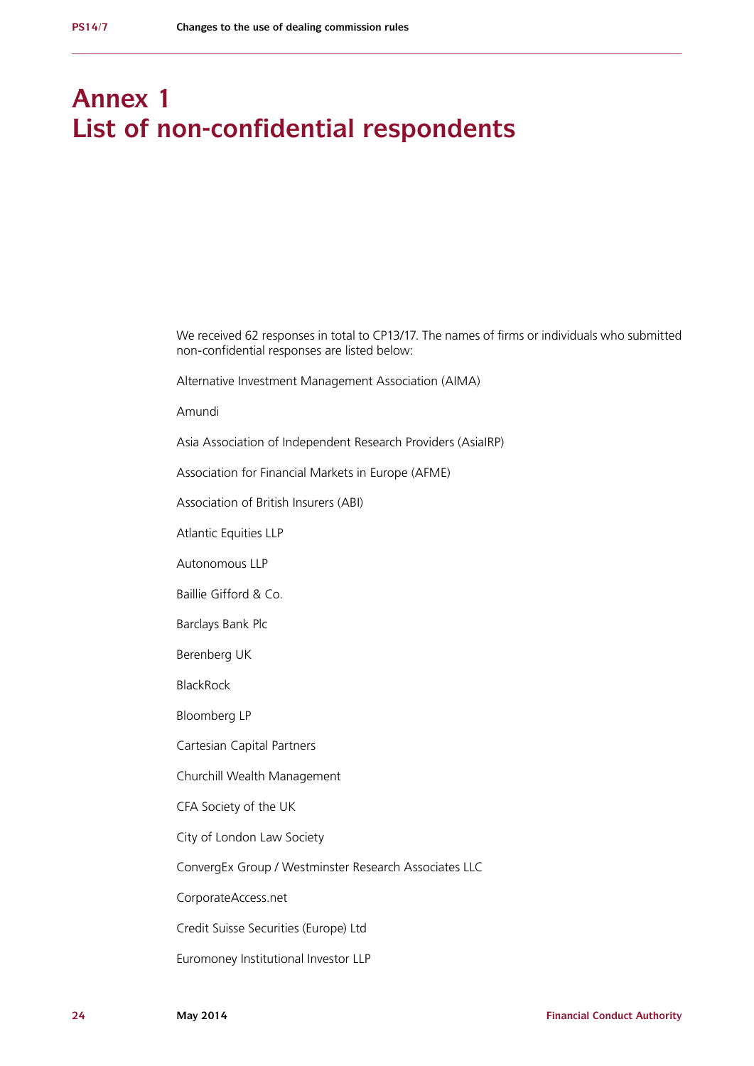# **Annex 1 List of non-confidential respondents**

We received 62 responses in total to CP13/17. The names of firms or individuals who submitted non-confidential responses are listed below:

Alternative Investment Management Association (AIMA)

Amundi

Asia Association of Independent Research Providers (AsiaIRP)

Association for Financial Markets in Europe (AFME)

Association of British Insurers (ABI)

Atlantic Equities LLP

Autonomous LLP

Baillie Gifford & Co.

Barclays Bank Plc

Berenberg UK

BlackRock

Bloomberg LP

Cartesian Capital Partners

Churchill Wealth Management

CFA Society of the UK

City of London Law Society

ConvergEx Group / Westminster Research Associates LLC

CorporateAccess.net

Credit Suisse Securities (Europe) Ltd

Euromoney Institutional Investor LLP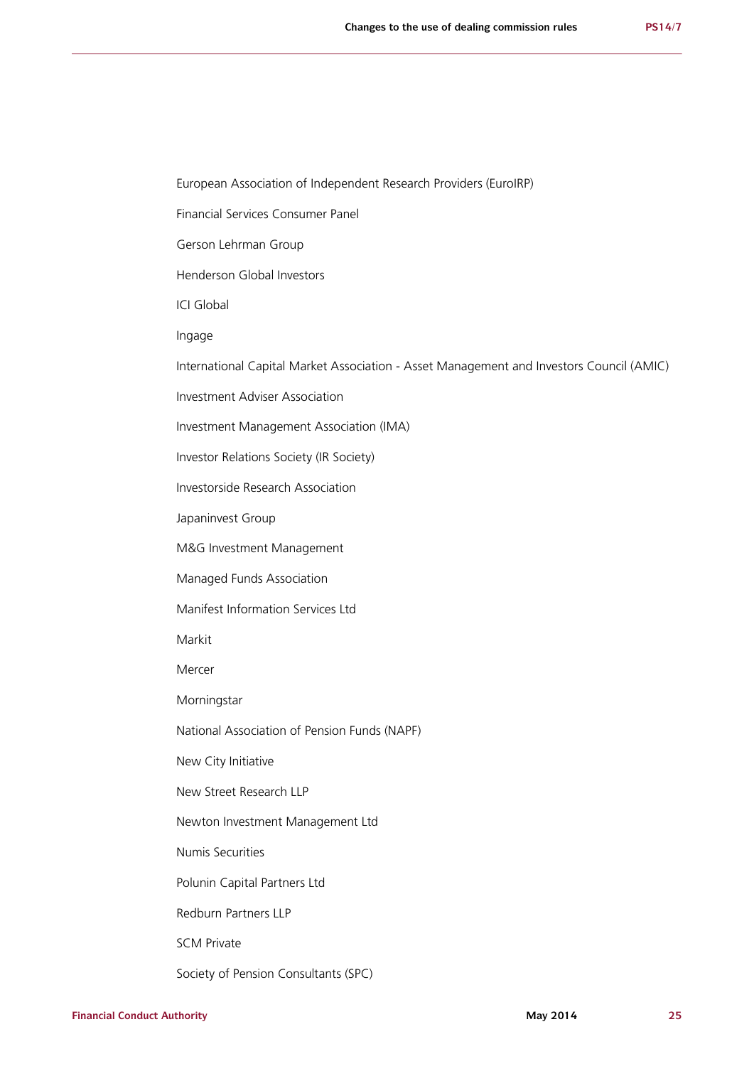European Association of Independent Research Providers (EuroIRP)

Financial Services Consumer Panel

Gerson Lehrman Group

Henderson Global Investors

ICI Global

Ingage

International Capital Market Association - Asset Management and Investors Council (AMIC)

Investment Adviser Association

Investment Management Association (IMA)

Investor Relations Society (IR Society)

Investorside Research Association

Japaninvest Group

M&G Investment Management

Managed Funds Association

Manifest Information Services Ltd

Markit

Mercer

Morningstar

National Association of Pension Funds (NAPF)

New City Initiative

New Street Research LLP

Newton Investment Management Ltd

Numis Securities

Polunin Capital Partners Ltd

Redburn Partners LLP

SCM Private

Society of Pension Consultants (SPC)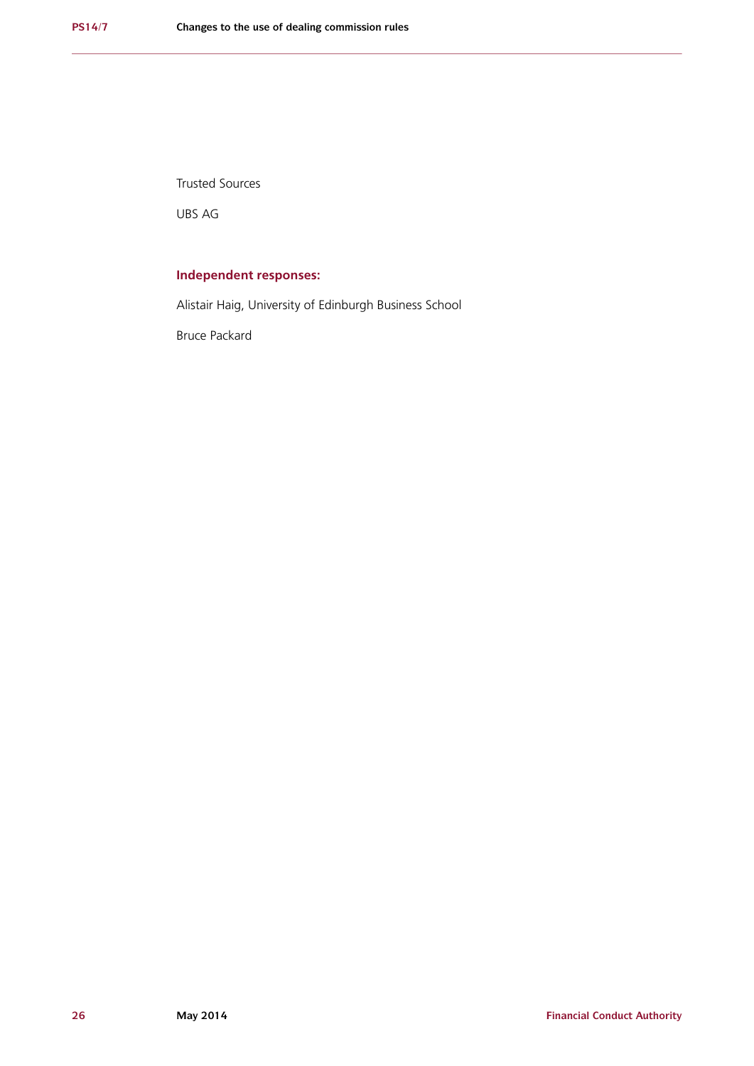Trusted Sources

UBS AG

# **Independent responses:**

Alistair Haig, University of Edinburgh Business School

Bruce Packard